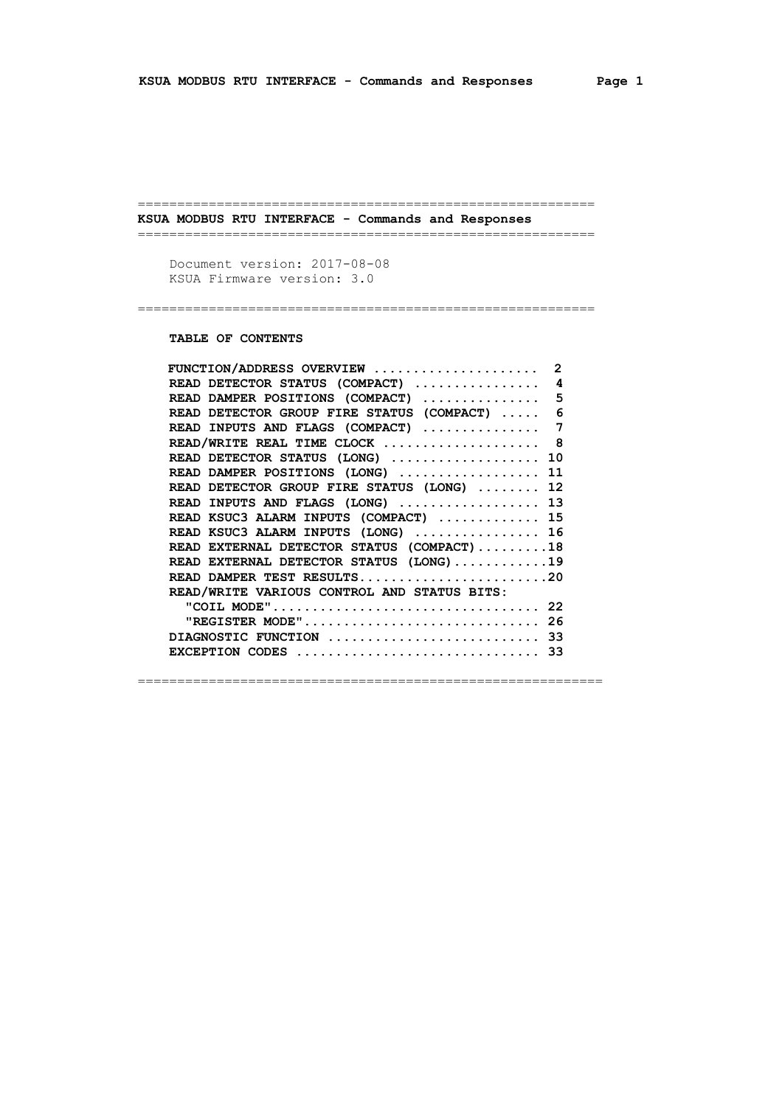========================================================== **KSUA MODBUS RTU INTERFACE - Commands and Responses**

==========================================================

==========================================================

 Document version: 2017-08-08 KSUA Firmware version: 3.0

 **TABLE OF CONTENTS**

| FUNCTION/ADDRESS OVERVIEW  2                                                            |  |
|-----------------------------------------------------------------------------------------|--|
| READ DETECTOR STATUS (COMPACT) $\ldots \ldots \ldots \ldots$                            |  |
| READ DAMPER POSITIONS (COMPACT)  5                                                      |  |
| READ DETECTOR GROUP FIRE STATUS (COMPACT)  6                                            |  |
| READ INPUTS AND FLAGS (COMPACT)  7                                                      |  |
| READ/WRITE REAL TIME CLOCK  8                                                           |  |
| READ DETECTOR STATUS (LONG)  10                                                         |  |
| READ DAMPER POSITIONS (LONG)  11                                                        |  |
| READ DETECTOR GROUP FIRE STATUS (LONG)  12                                              |  |
| READ INPUTS AND FLAGS (LONG)  13                                                        |  |
| READ KSUC3 ALARM INPUTS (COMPACT)  15                                                   |  |
| READ KSUC3 ALARM INPUTS (LONG) $\ldots$ 16                                              |  |
| READ EXTERNAL DETECTOR STATUS (COMPACT)18                                               |  |
| READ EXTERNAL DETECTOR STATUS (LONG)19                                                  |  |
| READ DAMPER TEST RESULTS20                                                              |  |
| READ/WRITE VARIOUS CONTROL AND STATUS BITS:                                             |  |
|                                                                                         |  |
| "REGISTER MODE" 26                                                                      |  |
| DIAGNOSTIC FUNCTION  33                                                                 |  |
| EXCEPTION CODES $\ldots \ldots \ldots \ldots \ldots \ldots \ldots \ldots \ldots \ldots$ |  |
|                                                                                         |  |

===========================================================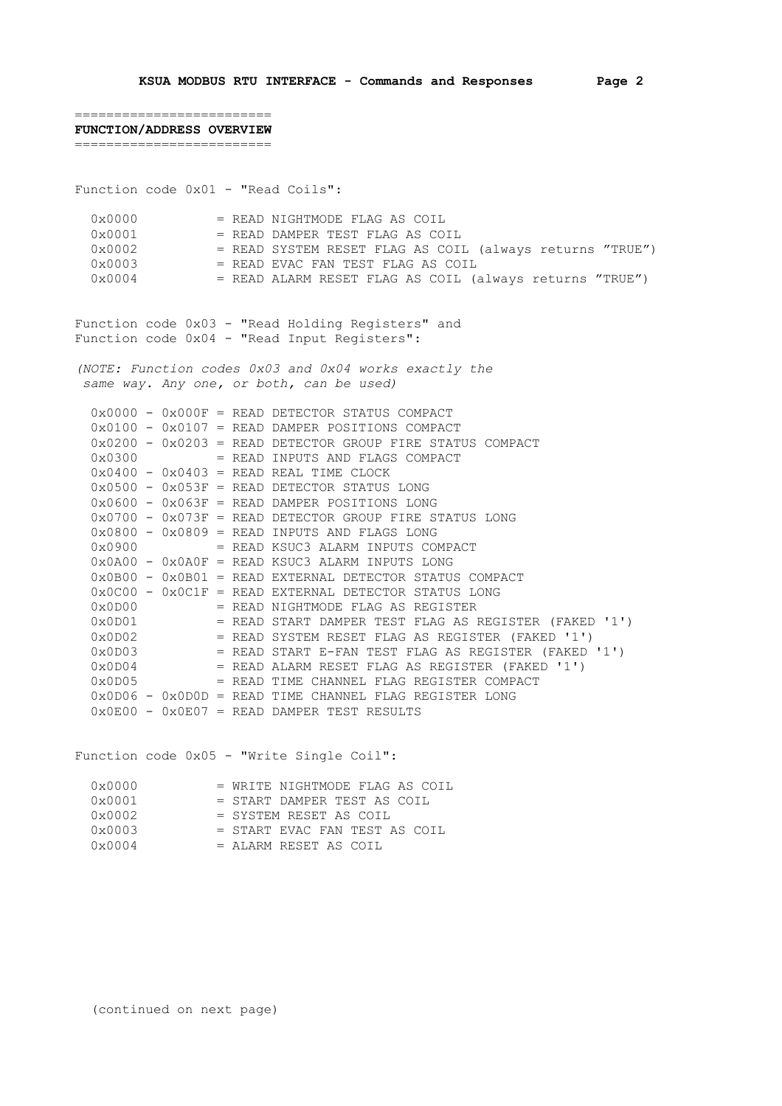========================= Function code 0x01 - "Read Coils":  $0 \times 0000$  = READ NIGHTMODE FLAG AS COIL  $0 \times 0001$  = READ DAMPER TEST FLAG AS COIL<br> $0 \times 0002$  = READ SYSTEM RESET FLAG AS COII = READ SYSTEM RESET FLAG AS COIL (always returns "TRUE")  $0 \times 0003$  = READ EVAC FAN TEST FLAG AS COIL<br> $0 \times 0004$  = READ ALARM RESET FLAG AS COIL ( = READ ALARM RESET FLAG AS COIL (always returns "TRUE") Function code 0x03 - "Read Holding Registers" and Function code 0x04 - "Read Input Registers": *(NOTE: Function codes 0x03 and 0x04 works exactly the same way. Any one, or both, can be used)*  $0x0000 - 0x000F = READ DETERCTOR STATUS COMPACT$  0x0100 - 0x0107 = READ DAMPER POSITIONS COMPACT 0x0200 - 0x0203 = READ DETECTOR GROUP FIRE STATUS COMPACT

| $0 \times 0300$             |  |  | = READ INPUTS AND FLAGS COMPACT                                             |
|-----------------------------|--|--|-----------------------------------------------------------------------------|
|                             |  |  | $0 \times 0400 - 0 \times 0403 =$ READ REAL TIME CLOCK                      |
|                             |  |  | $0 \times 0500$ - $0 \times 053F$ = READ DETECTOR STATUS LONG               |
|                             |  |  | $0 \times 0600 - 0 \times 063F = READ$ DAMPER POSITIONS LONG                |
|                             |  |  | $0x0700 - 0x073F = READ$ DETECTOR GROUP FIRE STATUS LONG                    |
|                             |  |  | $0 \times 0800 - 0 \times 0809 =$ READ INPUTS AND FLAGS LONG                |
| $0 \times 0900$             |  |  | = READ KSUC3 ALARM INPUTS COMPACT                                           |
|                             |  |  | $0 \times 0 A00 - 0 \times 0 A0F = READ$ KSUC3 ALARM INPUTS LONG            |
|                             |  |  | $0 \times 0$ B00 - $0 \times 0$ B01 = READ EXTERNAL DETECTOR STATUS COMPACT |
|                             |  |  |                                                                             |
| 0x0D00                      |  |  | = READ NIGHTMODE FLAG AS REGISTER                                           |
| 0x0D01                      |  |  | = READ START DAMPER TEST FLAG AS REGISTER (FAKED '1')                       |
| 0x0D02                      |  |  | = READ SYSTEM RESET FLAG AS REGISTER (FAKED '1')                            |
| $0 \times 0$ D $0$ 3        |  |  | = READ START E-FAN TEST FLAG AS REGISTER (FAKED '1')                        |
| $0 \times 0$ D $04$         |  |  | $=$ READ ALARM RESET FLAG AS REGISTER (FAKED '1')                           |
| $0 \times 0$ D $0 \times 5$ |  |  | = READ TIME CHANNEL FLAG REGISTER COMPACT                                   |
|                             |  |  | $0x0D06 - 0x0D0D = READ TIME CHANNEL FLAG REGISTER LONG$                    |
|                             |  |  | $0 \times 0E00 - 0 \times 0E07 = READ$ DAMPER TEST RESULTS                  |

Function code 0x05 - "Write Single Coil":

| 0x0000          | = WRITE NIGHTMODE FLAG AS COIL  |
|-----------------|---------------------------------|
| $0 \times 0001$ | = START DAMPER TEST AS COIL     |
| $0 \times 0002$ | = SYSTEM RESET AS COIL          |
| $0 \times 0003$ | $=$ START EVAC FAN TEST AS COIL |
| $0 \times 0004$ | = ALARM RESET AS COIL           |

========================= **FUNCTION/ADDRESS OVERVIEW**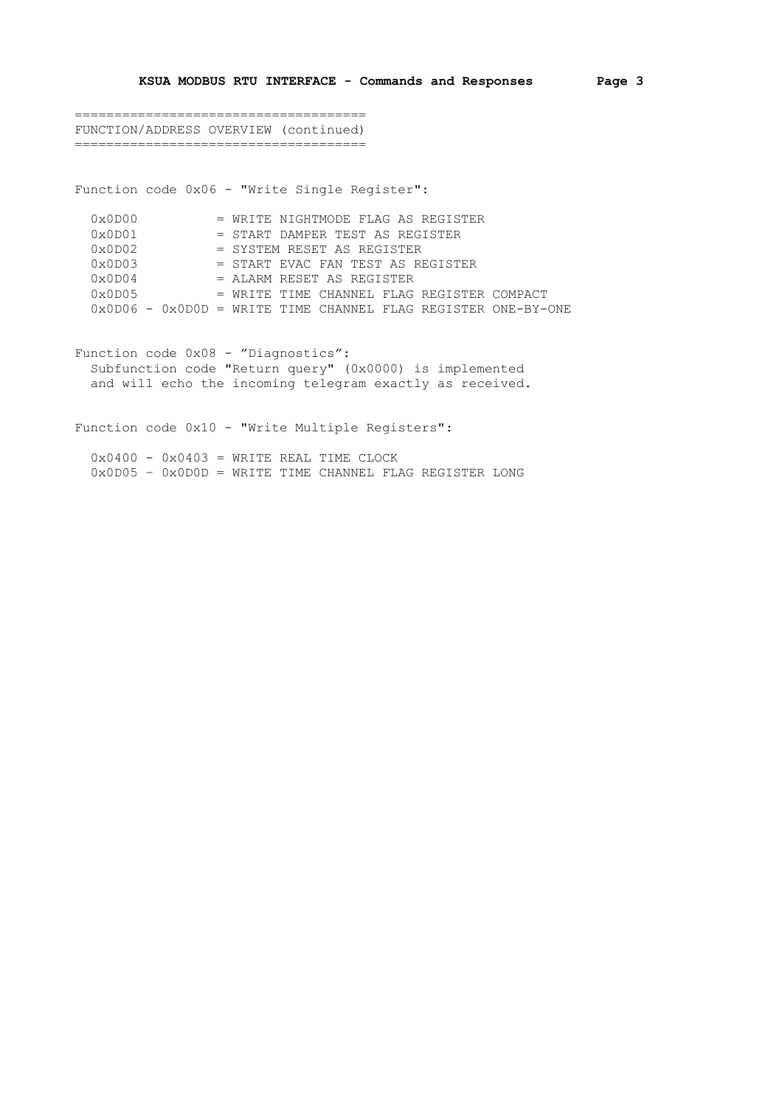===================================== FUNCTION/ADDRESS OVERVIEW (continued) =====================================

Function code 0x06 - "Write Single Register":

| 0x0D00              | = WRITE NIGHTMODE FLAG AS REGISTER                              |
|---------------------|-----------------------------------------------------------------|
| 0x0D01              | = START DAMPER TEST AS REGISTER                                 |
| $0 \times 0$ D $02$ | = SYSTEM RESET AS REGISTER                                      |
| 0x0D03              | = START EVAC FAN TEST AS REGISTER                               |
| $0 \times 0$ D $04$ | $=$ ALARM RESET AS REGISTER                                     |
| 0x0D05              | = WRITE TIME CHANNEL FLAG REGISTER COMPACT                      |
|                     | $0x0D06 - 0x0D0D = WRITE TIME CHANNEL FLAG REGISTER ONE-BY-ONE$ |

Function code 0x08 - "Diagnostics": Subfunction code "Return query" (0x0000) is implemented and will echo the incoming telegram exactly as received.

Function code 0x10 - "Write Multiple Registers":

 $0x0400 - 0x0403 = W$ RITE REAL TIME CLOCK 0x0D05 – 0x0D0D = WRITE TIME CHANNEL FLAG REGISTER LONG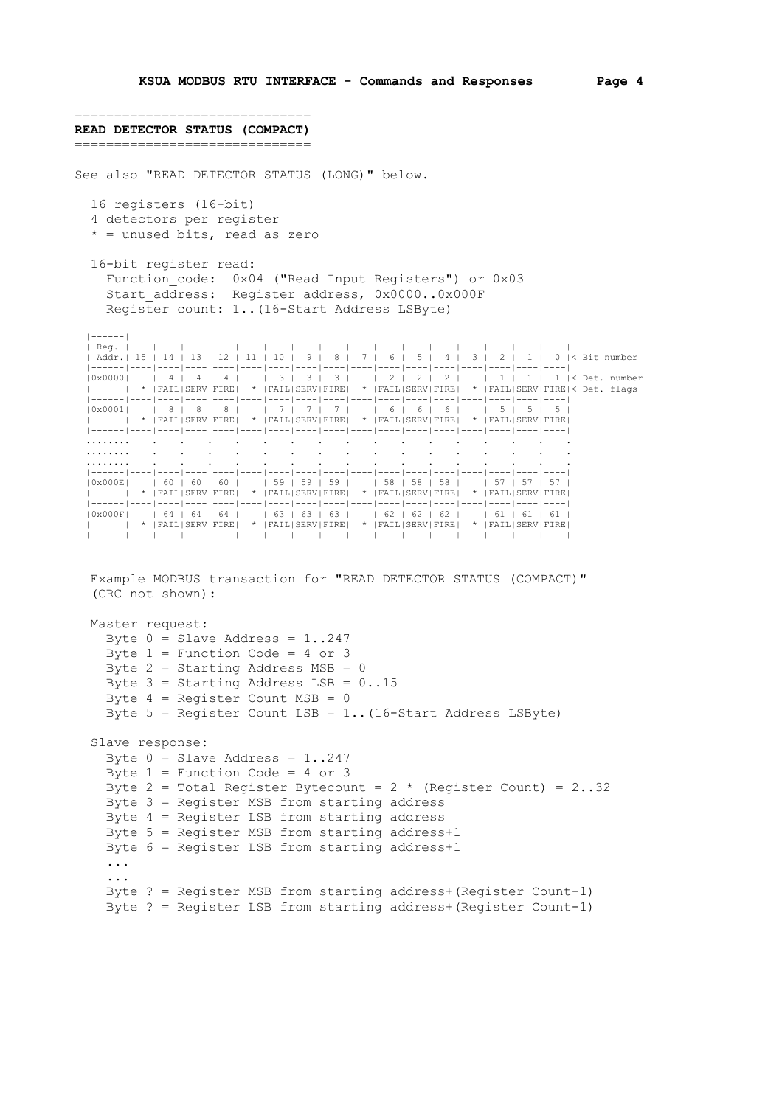============================== **READ DETECTOR STATUS (COMPACT)** ============================== See also "READ DETECTOR STATUS (LONG)" below. 16 registers (16-bit) 4 detectors per register \* = unused bits, read as zero 16-bit register read: Function code: 0x04 ("Read Input Registers") or 0x03 Start address: Register address, 0x0000..0x000F Register count: 1..(16-Start Address LSByte) |------| | Reg. |----|----|----|----|----|----|----|----|----|----|----|----|----|----|----|----| | Addr.| 15 | 14 | 13 | 12 | 11 | 10 | 9 | 8 | 7 | 6 | 5 | 4 | 3 | 2 | 1 | 0 |< Bit number |------|----|----|----|----|----|----|----|----|----|----|----|----|----|----|----|----| |0x0000| | 4 | 4 | 4 | | 3 | 3 | 3 | | 2 | 2 | 2 | | 1 | 1 | 1 |< Det. number | | \* |FAIL|SERV|FIRE| \* |FAIL|SERV|FIRE| \* |FAIL|SERV|FIRE| \* |FAIL|SERV|FIRE|< Det. flags |------|----|----|----|----|----|----|----|----|----|----|----|----|----|----|----|----| |0x0001| | 8 | 8 | 8 | | 7 | 7 | 7 | | 6 | 6 | 6 | | 5 | 5 | 5 | | | \* |FAIL|SERV|FIRE| \* |FAIL|SERV|FIRE| \* |FAIL|SERV|FIRE| \* |FAIL|SERV|FIRE| |------|----|----|----|----|----|----|----|----|----|----|----|----|----|----|----|----| ........ . . . . . . . . . . . . . . . . ........ . . . . . . . . . . . . . . . . ........ . . . . . . . . . . . . . . . . |------|----|----|----|----|----|----|----|----|----|----|----|----|----|----|----|----| |0x000E| | 60 | 60 | 60 | | 59 | 59 | 59 | | 58 | 58 | 58 | | 57 | 57 | 57 | | | \* |FAIL|SERV|FIRE| \* |FAIL|SERV|FIRE| \* |FAIL|SERV|FIRE| \* |FAIL|SERV|FIRE| |------|----|----|----|----|----|----|----|----|----|----|----|----|----|----|----|----| |0x000F| | 64 | 64 | 64 | | 63 | 63 | 63 | | 62 | 62 | 62 | | 61 | 61 | 61 | | | \* |FAIL|SERV|FIRE| \* |FAIL|SERV|FIRE| \* |FAIL|SERV|FIRE| \* |FAIL|SERV|FIRE| |------|----|----|----|----|----|----|----|----|----|----|----|----|----|----|----|----| Example MODBUS transaction for "READ DETECTOR STATUS (COMPACT)" (CRC not shown):

 Master request: Byte  $0 =$  Slave Address = 1..247 Byte  $1$  = Function Code = 4 or 3 Byte  $2 =$  Starting Address MSB = 0 Byte  $3 =$  Starting Address LSB =  $0..15$ Byte  $4$  = Register Count MSB = 0 Byte  $5$  = Register Count LSB = 1.. (16-Start Address LSByte) Slave response: Byte  $0 =$  Slave Address = 1..247 Byte  $1$  = Function Code = 4 or 3 Byte 2 = Total Register Bytecount =  $2 \times ($ Register Count) =  $2 \cdot .32$  Byte 3 = Register MSB from starting address Byte 4 = Register LSB from starting address Byte 5 = Register MSB from starting address+1 Byte 6 = Register LSB from starting address+1 ... ... Byte ? = Register MSB from starting address+(Register Count-1) Byte ? = Register LSB from starting address+(Register Count-1)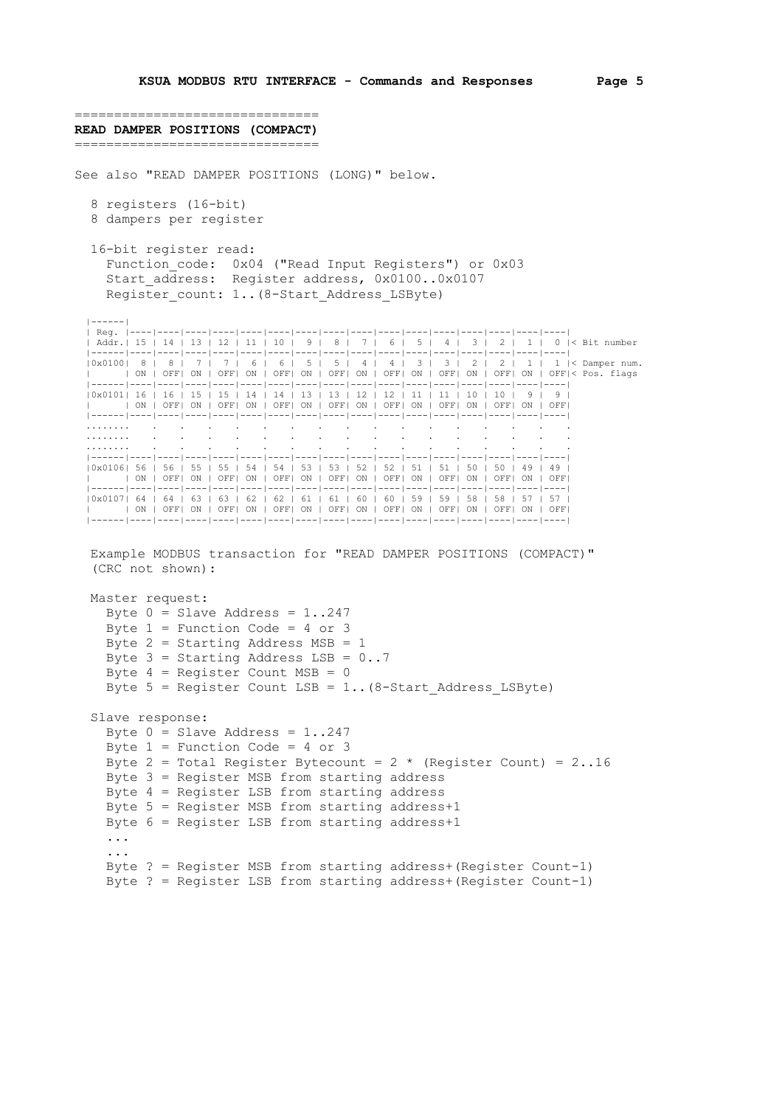```
===============================
READ DAMPER POSITIONS (COMPACT)
===============================
See also "READ DAMPER POSITIONS (LONG)" below.
   8 registers (16-bit)
   8 dampers per register
   16-bit register read:
    Function code: 0x04 ("Read Input Registers") or 0x03
     Start address: Register address, 0x0100..0x0107
     Register count: 1..(8-Start Address LSByte)
 |------|
   | Reg. |----|----|----|----|----|----|----|----|----|----|----|----|----|----|----|----|
 | Addr.| 15 | 14 | 13 | 12 | 11 | 10 | 9 | 8 | 7 | 6 | 5 | 4 | 3 | 2 | 1 | 0 |< Bit number
 |------|----|----|----|----|----|----|----|----|----|----|----|----|----|----|----|----|
  |------|-<br>|0x0100| 8 | 8 | 7 | 7 | 6 | 6 | 5 | 5 | 4 | 4 | 3 | 3 | 2 | 2 | 1 | 1 |< Damper num.
      | | ON | OFF| ON | OFF| ON | OFF| ON | OFF| ON | OFF| ON | OFF| ON | OFF| ON | OFF|< Pos. flags
     |------|----|----|----|----|----|----|----|----|----|----|----|----|----|----|----|----|
   |0x0101| 16 | 16 | 15 | 15 | 14 | 14 | 13 | 13 | 12 | 12 | 11 | 11 | 10 | 10 | 9 | 9 |
         | | ON | OFF| ON | OFF| ON | OFF| ON | OFF| ON | OFF| ON | OFF| ON | OFF| ON | OFF|
   |------|----|----|----|----|----|----|----|----|----|----|----|----|----|----|----|----|
 ........ . . . . . . . . . . . . . . . .
 ........ . . . . . . . . . . . . . . . .
 ........ . . . . . . . . . . . . . . . .
 |------|----|----|----|----|----|----|----|----|----|----|----|----|----|----|----|----|
   |0x0106| 56 | 56 | 55 | 55 | 54 | 54 | 53 | 53 | 52 | 52 | 51 | 51 | 50 | 50 | 49 | 49 |
          | | ON | OFF| ON | OFF| ON | OFF| ON | OFF| ON | OFF| ON | OFF| ON | OFF| ON | OFF|
   |------|----|----|----|----|----|----|----|----|----|----|----|----|----|----|----|----|
   |0x0107| 64 | 64 | 63 | 63 | 62 | 62 | 61 | 61 | 60 | 60 | 59 | 59 | 58 | 58 | 57 | 57 |
        | | ON | OFF| ON | OFF| ON | OFF| ON | OFF| ON | OFF| ON | OFF| ON | OFF| ON | OFF|
   |------|----|----|----|----|----|----|----|----|----|----|----|----|----|----|----|----|
   Example MODBUS transaction for "READ DAMPER POSITIONS (COMPACT)"
   (CRC not shown):
   Master request:
    Byte 0 = Slave Address = 1..247
     Byte 1 = Function Code = 4 or 3
    Byte 2 = Starting Address MSB = 1
    Byte 3 = Starting Address LSB = 0..7Byte 4 = Register Count MSB = 0
     Byte 5 = Register Count LSB = 1.. (8-Start Address LSByte)
   Slave response:
     Byte 0 = Slave Address = 1..247
     Byte 1 = Function Code = 4 or 3
     Byte 2 = Total Register Bytecount = 2 * (Register Count) = 2 \cdot .16 Byte 3 = Register MSB from starting address
      Byte 4 = Register LSB from starting address
      Byte 5 = Register MSB from starting address+1
      Byte 6 = Register LSB from starting address+1
      ...
      ...
      Byte ? = Register MSB from starting address+(Register Count-1)
```

```
 Byte ? = Register LSB from starting address+(Register Count-1)
```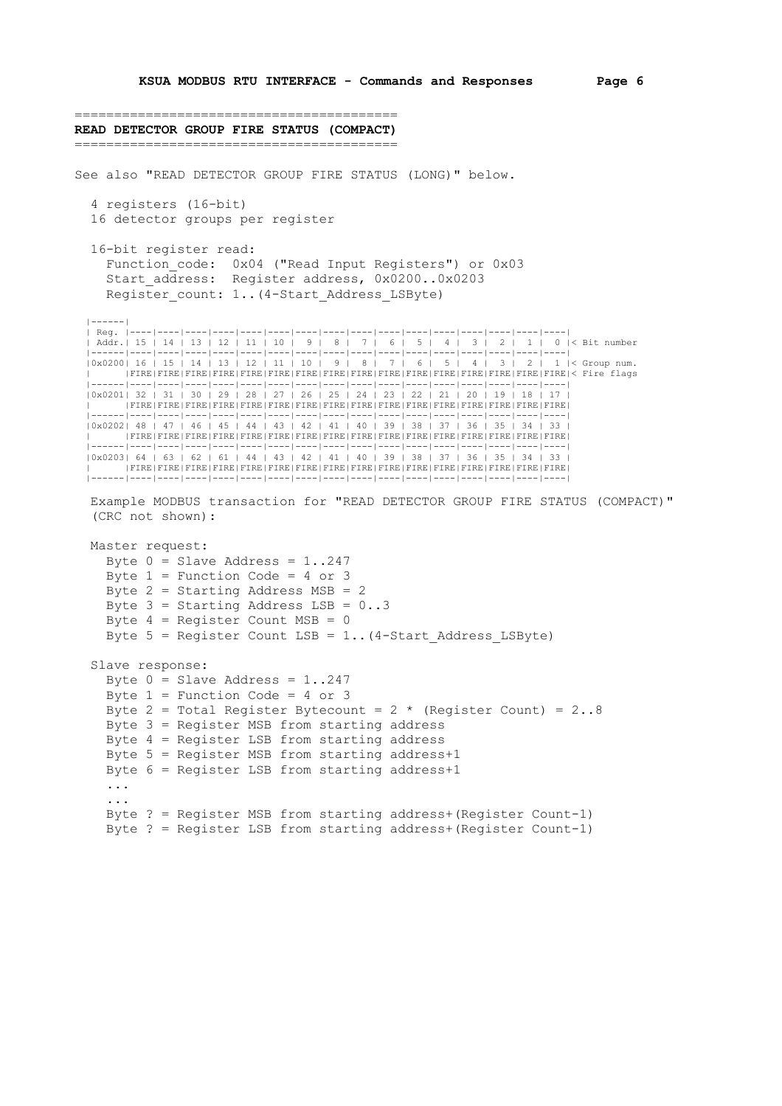```
=========================================
READ DETECTOR GROUP FIRE STATUS (COMPACT)
=========================================
See also "READ DETECTOR GROUP FIRE STATUS (LONG)" below.
   4 registers (16-bit)
   16 detector groups per register
   16-bit register read:
     Function code: 0x04 ("Read Input Registers") or 0x03
     Start address: Register address, 0x0200..0x0203
     Register count: 1..(4-Start Address LSByte)
 |------|
   | Reg. |----|----|----|----|----|----|----|----|----|----|----|----|----|----|----|----|
 | Addr.| 15 | 14 | 13 | 12 | 11 | 10 | 9 | 8 | 7 | 6 | 5 | 4 | 3 | 2 | 1 | 0 |< Bit number
 |------|----|----|----|----|----|----|----|----|----|----|----|----|----|----|----|----|
  |------|--· |<br>|0x0200| 16 | 15 | 14 | 13 | 12 | 11 | 10 | 9 | 8 | 7 | 6 | 5 | 4 | 3 | 2 | 1 |< Group num.
         | |FIRE|FIRE|FIRE|FIRE|FIRE|FIRE|FIRE|FIRE|FIRE|FIRE|FIRE|FIRE|FIRE|FIRE|FIRE|FIRE|< Fire flags
         |------|----|----|----|----|----|----|----|----|----|----|----|----|----|----|----|----|
   |0x0201| 32 | 31 | 30 | 29 | 28 | 27 | 26 | 25 | 24 | 23 | 22 | 21 | 20 | 19 | 18 | 17 |
         | |FIRE|FIRE|FIRE|FIRE|FIRE|FIRE|FIRE|FIRE|FIRE|FIRE|FIRE|FIRE|FIRE|FIRE|FIRE|FIRE|
 |------|----|----|----|----|----|----|----|----|----|----|----|----|----|----|----|----|
 |0x0202| 48 | 47 | 46 | 45 | 44 | 43 | 42 | 41 | 40 | 39 | 38 | 37 | 36 | 35 | 34 | 33 |
        | |FIRE|FIRE|FIRE|FIRE|FIRE|FIRE|FIRE|FIRE|FIRE|FIRE|FIRE|FIRE|FIRE|FIRE|FIRE|FIRE|
 |------|----|----|----|----|----|----|----|----|----|----|----|----|----|----|----|----|
 |0x0203| 64 | 63 | 62 | 61 | 44 | 43 | 42 | 41 | 40 | 39 | 38 | 37 | 36 | 35 | 34 | 33 |
         | |FIRE|FIRE|FIRE|FIRE|FIRE|FIRE|FIRE|FIRE|FIRE|FIRE|FIRE|FIRE|FIRE|FIRE|FIRE|FIRE|
   |------|----|----|----|----|----|----|----|----|----|----|----|----|----|----|----|----|
   Example MODBUS transaction for "READ DETECTOR GROUP FIRE STATUS (COMPACT)"
    (CRC not shown):
   Master request:
     Byte 0 = Slave Address = 1..247
     Byte 1 = Function Code = 4 or 3
      Byte 2 = Starting Address MSB = 2
     Byte 3 = Starting Address LSB = 0..3 Byte 4 = Register Count MSB = 0
     Byte 5 = Register Count LSB = 1.. (4-Start Address LSByte)
   Slave response:
     Byte 0 = Slave Address = 1..247
     Byte 1 = Function Code = 4 or 3
     Byte 2 = Total Register Bytecount = 2 * (Register Count) = 2 \cdot .8
```
 Byte ? = Register MSB from starting address+(Register Count-1) Byte ? = Register LSB from starting address+(Register Count-1)

 Byte 3 = Register MSB from starting address Byte 4 = Register LSB from starting address Byte 5 = Register MSB from starting address+1 Byte 6 = Register LSB from starting address+1

 ... ...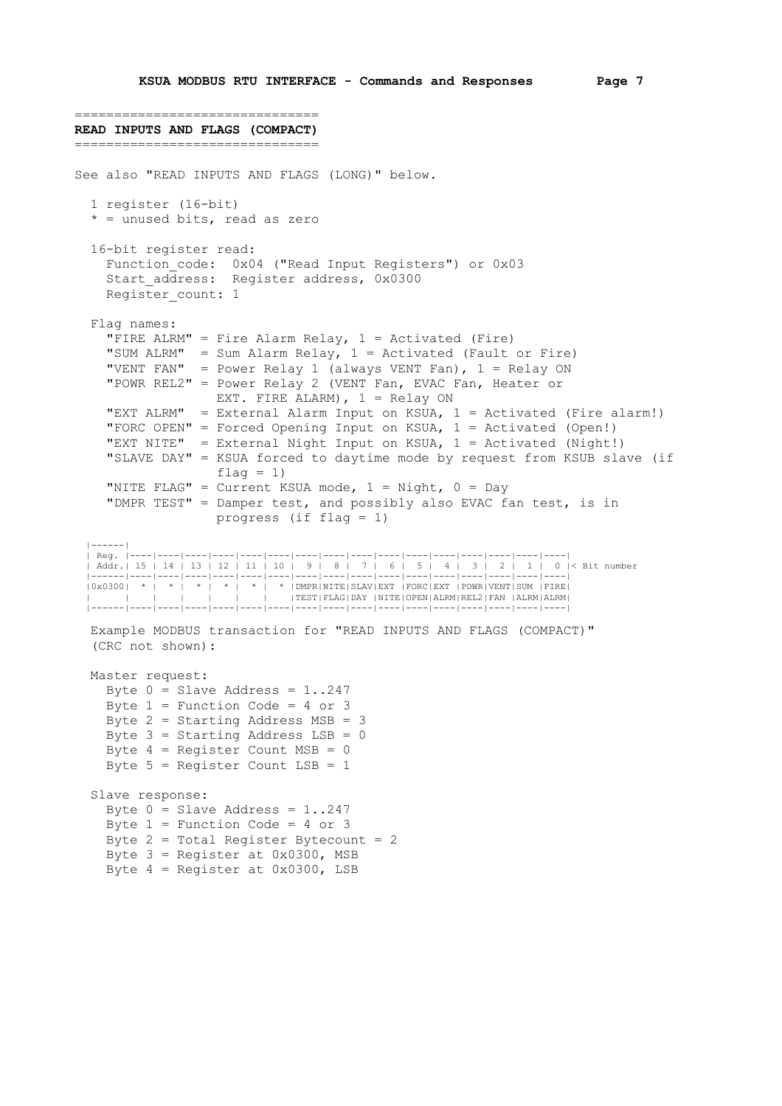```
===============================
READ INPUTS AND FLAGS (COMPACT)
===============================
See also "READ INPUTS AND FLAGS (LONG)" below.
   1 register (16-bit)
  * = unused bits, read as zero
   16-bit register read:
    Function code: 0x04 ("Read Input Registers") or 0x03
    start address: Register address, 0x0300
    Register count: 1
   Flag names:
    "FIRE ALRM" = Fire Alarm Relay, 1 = Activated (Fire)
 "SUM ALRM" = Sum Alarm Relay, 1 = Activated (Fault or Fire)
 "VENT FAN" = Power Relay 1 (always VENT Fan), 1 = Relay ON
 "POWR REL2" = Power Relay 2 (VENT Fan, EVAC Fan, Heater or
                   EXT. FIRE ALARM), 1 = Relay ON
     "EXT ALRM" = External Alarm Input on KSUA, 1 = Activated (Fire alarm!)
     "FORC OPEN" = Forced Opening Input on KSUA, 1 = Activated (Open!)
     "EXT NITE" = External Night Input on KSUA, 1 = Activated (Night!)
     "SLAVE DAY" = KSUA forced to daytime mode by request from KSUB slave (if
                   flag = 1)"NITE FLAG" = Current KSUA mode, 1 = Night, 0 = Day
     "DMPR TEST" = Damper test, and possibly also EVAC fan test, is in
                    progress (if flag = 1)
 |------|
  | Reg. |----|----|----|----|----|----|----|----|----|----|----|----|----|----|----|----|
 | Addr.| 15 | 14 | 13 | 12 | 11 | 10 | 9 | 8 | 7 | 6 | 5 | 4 | 3 | 2 | 1 | 0 |< Bit number
 |------|----|----|----|----|----|----|----|----|----|----|----|----|----|----|----|----|
  |0x0300| * | * | * | * | * | * |DMPR|NITE|SLAV|EXT |FORC|EXT |POWR|VENT|SUM |FIRE|
                             | | | | | | | |TEST|FLAG|DAY |NITE|OPEN|ALRM|REL2|FAN |ALRM|ALRM|
   |------|----|----|----|----|----|----|----|----|----|----|----|----|----|----|----|----|
   Example MODBUS transaction for "READ INPUTS AND FLAGS (COMPACT)"
   (CRC not shown):
   Master request:
    Byte 0 = Slave Address = 1..247
    Byte 1 = Function Code = 4 or 3
     Byte 2 = Starting Address MSB = 3
    Byte 3 = Starting Address LSB = 0
    Byte 4 = Register Count MSB = 0
     Byte 5 = Register Count LSB = 1
   Slave response:
    Byte 0 = Slave Address = 1..247
    Byte 1 = Function Code = 4 or 3
    Byte 2 = Total Register Bytecount = 2Byte 3 = Register at 0 \times 0300, MSB
    Byte 4 = Register at 0 \times 0300, LSB
```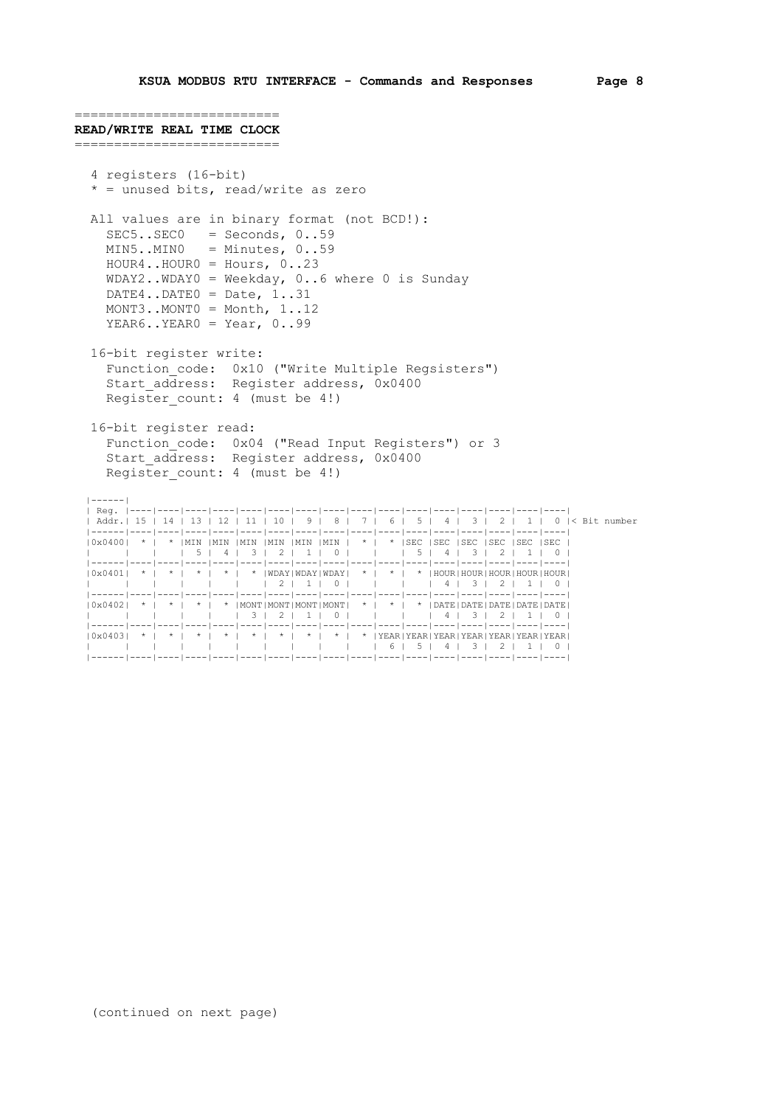```
==========================
READ/WRITE REAL TIME CLOCK
==========================
   4 registers (16-bit)
    * = unused bits, read/write as zero
   All values are in binary format (not BCD!):
     SEC5..SEC0 = Seconds, 0..59 MIN5..MIN0 = Minutes, 0..59
      HOUR4..HOUR0 = Hours, 0..23
      WDAY2..WDAY0 = Weekday, 0..6 where 0 is Sunday
     DATE4..DATE0 = Date, 1..31
      MONT3..MONT0 = Month, 1..12
     YEAR6..YEAR0 = Year, 0..99
   16-bit register write:
 Function_code: 0x10 ("Write Multiple Regsisters")
Start address: Register address, 0x0400
     Register count: 4 (must be 4!)
   16-bit register read:
      Function_code: 0x04 ("Read Input Registers") or 3
      Start_address: Register address, 0x0400
     Register count: 4 (must be 4!)
   |------|
 | Reg. |----|----|----|----|----|----|----|----|----|----|----|----|----|----|----|----|
 | Addr.| 15 | 14 | 13 | 12 | 11 | 10 | 9 | 8 | 7 | 6 | 5 | 4 | 3 | 2 | 1 | 0 |< Bit number
 |------|----|----|----|----|----|----|----|----|----|----|----|----|----|----|----|----|
 |0x0400| * | * |MIN |MIN |MIN |MIN |MIN |MIN | * | * |SEC |SEC |SEC |SEC |SEC |SEC |
 | | | | 5 | 4 | 3 | 2 | 1 | 0 | | | 5 | 4 | 3 | 2 | 1 | 0 |
 |------|----|----|----|----|----|----|----|----|----|----|----|----|----|----|----|----|
 |0x0401| * | * | * | * | * |WDAY|WDAY|WDAY| * | * | * |HOUR|HOUR|HOUR|HOUR|HOUR|
 | | | | | | | 2 | 1 | 0 | | | | 4 | 3 | 2 | 1 | 0 |
 |------|----|----|----|----|----|----|----|----|----|----|----|----|----|----|----|----|
  (0 \times 0402) * | * | * | * | MONT|MONT|MONT|MONT| * | * | * | DATE|DATE|DATE|DATE|DATE|DATE|DATE|\frac{1}{2}|
 | | | | | | 3 | 2 | 1 | 0 | | | | 4 | 3 | 2 | 1 | 0 |
 |------|----|----|----|----|----|----|----|----|----|----|----|----|----|----|----|----|
   |0x0403| * | * | * | * | * | * | * | * | * |YEAR|YEAR|YEAR|YEAR|YEAR|YEAR|YEAR|
 | | | | | | | | | | | 6 | 5 | 4 | 3 | 2 | 1 | 0 |
 |------|----|----|----|----|----|----|----|----|----|----|----|----|----|----|----|----|
```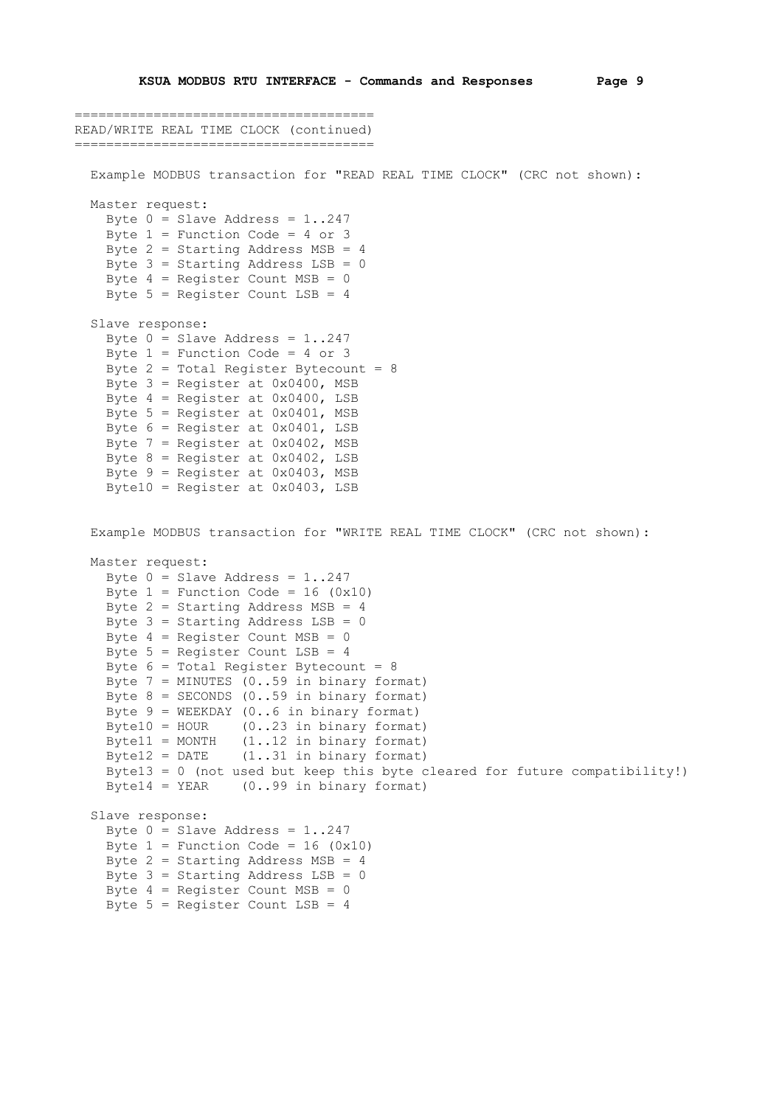```
======================================
READ/WRITE REAL TIME CLOCK (continued)
======================================
   Example MODBUS transaction for "READ REAL TIME CLOCK" (CRC not shown):
   Master request:
   Byte 0 = Slave Address = 1..247
    Byte 1 = Function Code = 4 or 3
     Byte 2 = Starting Address MSB = 4
    Byte 3 = Starting Address LSB = 0
    Byte 4 = Register Count MSB = 0
    Byte 5 = Register Count LSB = 4
   Slave response:
    Byte 0 = Slave Address = 1..247
    Byte 1 = Function Code = 4 or 3
    Byte 2 = Total Register Bytecount = 8
    Byte 3 = Register at 0 \times 0400, MSB
    Byte 4 = Register at 0 \times 0400, LSB
    Byte 5 = Register at 0 \times 0401, MSB
     Byte 6 = Register at 0x0401, LSB
    Byte 7 = Register at 0x0402, MSB
    Byte 8 = Register at 0x0402, LSB
    Byte 9 = Register at 0x0403, MSB
     Byte10 = Register at 0x0403, LSB
   Example MODBUS transaction for "WRITE REAL TIME CLOCK" (CRC not shown):
   Master request:
   Byte 0 = Slave Address = 1..247
    Byte 1 = Function Code = 16 (0x10)
    Byte 2 = Starting Address MSB = 4
    Byte 3 = Starting Address LSB = 0
    Byte 4 = Register Count MSB = 0
     Byte 5 = Register Count LSB = 4
    Byte 6 = Total Register SystemByte 7 = MINUTES (0..59 in binary format)
    Byte 8 = SECONDS (0..59) in binary format)
    Byte 9 = WEEKDAY (0..6 in binary format)
    Byte10 = HOUR (0..23) in binary format)
   Bytell = MONTH (1..12 in binary format)
    Byte12 = DATE (1..31) in binary format)
     Byte13 = 0 (not used but keep this byte cleared for future compatibility!)
    Byte14 = YEAR (0..99 in binary format)
   Slave response:
    Byte 0 = Slave Address = 1..247
    Byte 1 = Function Code = 16 (0x10)
    Byte 2 = Starting Address MSB = 4
    Byte 3 = Starting Address LSB = 0
    Byte 4 = Register Count MSB = 0
    Byte 5 = Register Count LSB = 4
```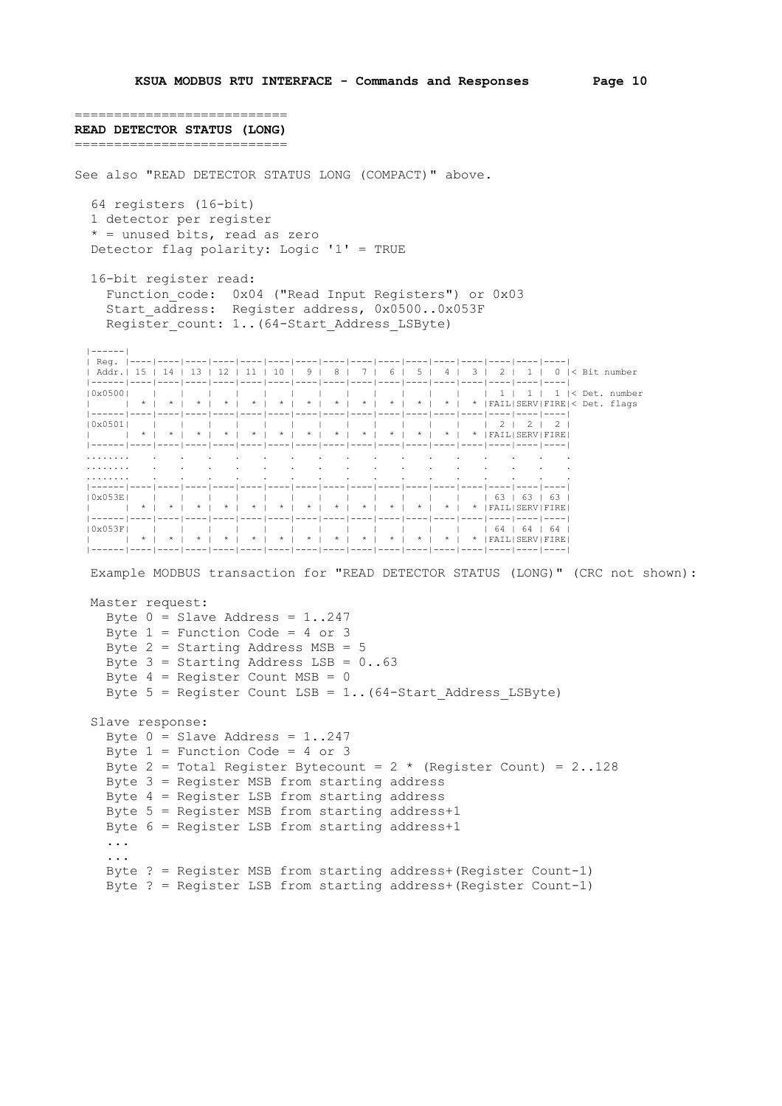```
===========================
READ DETECTOR STATUS (LONG)
===========================
See also "READ DETECTOR STATUS LONG (COMPACT)" above.
   64 registers (16-bit)
   1 detector per register
   * = unused bits, read as zero
   Detector flag polarity: Logic '1' = TRUE
   16-bit register read:
 Function_code: 0x04 ("Read Input Registers") or 0x03
 Start_address: Register address, 0x0500..0x053F
     Register count: 1..(64-Start Address LSByte)
 |------|
 | Reg. |----|----|----|----|----|----|----|----|----|----|----|----|----|----|----|----|
 | Addr.| 15 | 14 | 13 | 12 | 11 | 10 | 9 | 8 | 7 | 6 | 5 | 4 | 3 | 2 | 1 | 0 |< Bit number
 |------|----|----|----|----|----|----|----|----|----|----|----|----|----|----|----|----|
 |0x0500| | | | | | | | | | | | | | 1 | 1 | 1 |< Det. number
 | | * | * | * | * | * | * | * | * | * | * | * | * | * |FAIL|SERV|FIRE|< Det. flags
 |------|----|----|----|----|----|----|----|----|----|----|----|----|----|----|----|----|
 |0x0501| | | | | | | | | | | | | | 2 | 2 | 2 |
           | | * | * | * | * | * | * | * | * | * | * | * | * | * |FAIL|SERV|FIRE|
   |------|----|----|----|----|----|----|----|----|----|----|----|----|----|----|----|----|
 ........ . . . . . . . . . . . . . . . .
 ........ . . . . . . . . . . . . . . . .
 ........ . . . . . . . . . . . . . . . .
 |------|----|----|----|----|----|----|----|----|----|----|----|----|----|----|----|----|
 |0x053E| | | | | | | | | | | | | | 63 | 63 | 63 |
 | | * | * | * | * | * | * | * | * | * | * | * | * | * |FAIL|SERV|FIRE|
      |------|----|----|----|----|----|----|----|----|----|----|----|----|----|----|----|----|
 |0x053F| | | | | | | | | | | | | | 64 | 64 | 64 |
 | | * | * | * | * | * | * | * | * | * | * | * | * | * |FAIL|SERV|FIRE|
   |------|----|----|----|----|----|----|----|----|----|----|----|----|----|----|----|----|
   Example MODBUS transaction for "READ DETECTOR STATUS (LONG)" (CRC not shown):
   Master request:
    Byte 0 = Slave Address = 1..247
     Byte 1 = Function Code = 4 or 3
    Byte 2 = Starting Address MSB = 5
    Byte 3 = Starting Address LSB = 0(.63)Byte 4 = Register Count MSB = 0
     Byte 5 = Register Count LSB = 1.. (64-Start Address LSByte)
   Slave response:
     Byte 0 = Slave Address = 1..247
     Byte 1 = Function Code = 4 or 3
     Byte 2 = Total Register Bytecount = 2 \times (Register Count) = 2.128 Byte 3 = Register MSB from starting address
      Byte 4 = Register LSB from starting address
      Byte 5 = Register MSB from starting address+1
      Byte 6 = Register LSB from starting address+1
      ...
      ...
      Byte ? = Register MSB from starting address+(Register Count-1)
      Byte ? = Register LSB from starting address+(Register Count-1)
```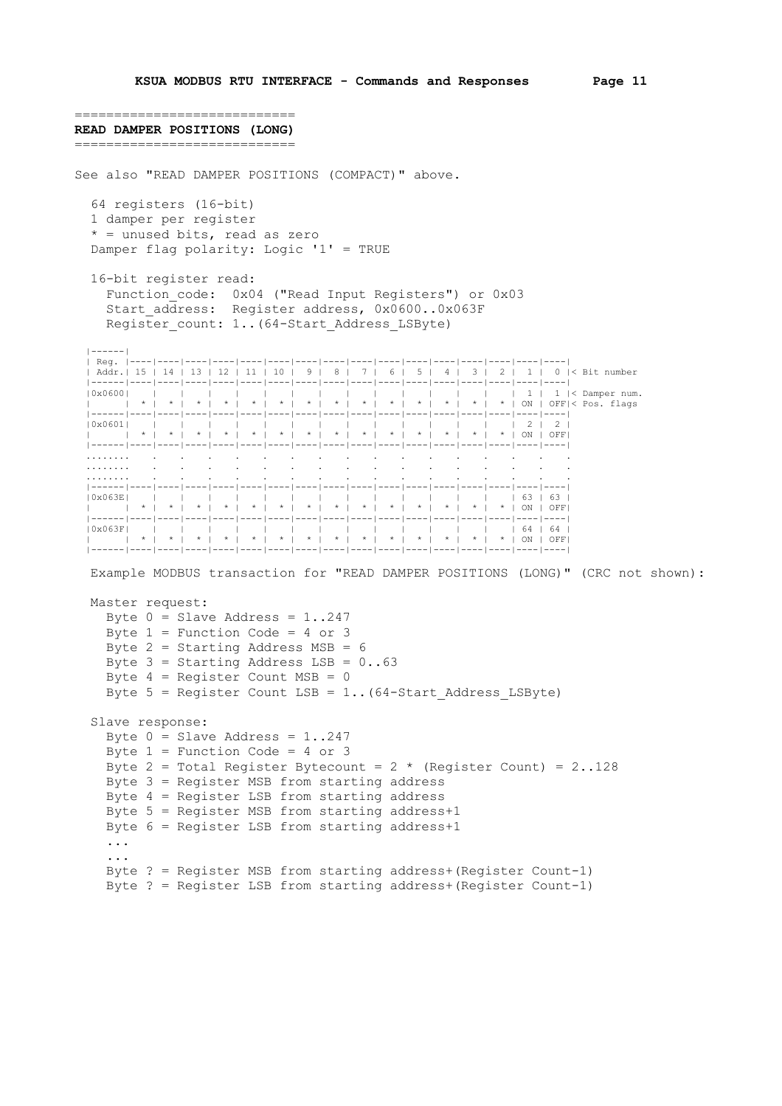```
============================
READ DAMPER POSITIONS (LONG)
============================
See also "READ DAMPER POSITIONS (COMPACT)" above.
   64 registers (16-bit)
   1 damper per register
   * = unused bits, read as zero
   Damper flag polarity: Logic '1' = TRUE
   16-bit register read:
 Function_code: 0x04 ("Read Input Registers") or 0x03
 Start_address: Register address, 0x0600..0x063F
    Register count: 1..(64-Start Address LSByte)
 |------|
 | Reg. |----|----|----|----|----|----|----|----|----|----|----|----|----|----|----|----|
 | Addr.| 15 | 14 | 13 | 12 | 11 | 10 | 9 | 8 | 7 | 6 | 5 | 4 | 3 | 2 | 1 | 0 |< Bit number
 |------|----|----|----|----|----|----|----|----|----|----|----|----|----|----|----|----|
 |0x0600| | | | | | | | | | | | | | | 1 | 1 |< Damper num.
 | | * | * | * | * | * | * | * | * | * | * | * | * | * | * | ON | OFF|< Pos. flags
   |------|----|----|----|----|----|----|----|----|----|----|----|----|----|----|----|----|
 |0x0601| | | | | | | | | | | | | | | 2 | 2 |
 | | * | * | * | * | * | * | * | * | * | * | * | * | * | * | ON | OFF|
   |------|----|----|----|----|----|----|----|----|----|----|----|----|----|----|----|----|
 ........ . . . . . . . . . . . . . . . .
 ........ . . . . . . . . . . . . . . . .
 ........ . . . . . . . . . . . . . . . .
 |------|----|----|----|----|----|----|----|----|----|----|----|----|----|----|----|----|
 |0x063E| | | | | | | | | | | | | | | 63 | 63 |
 | | * | * | * | * | * | * | * | * | * | * | * | * | * | * | ON | OFF|
   |------|----|----|----|----|----|----|----|----|----|----|----|----|----|----|----|----|
 |0x063F| | | | | | | | | | | | | | | 64 | 64 |
 | | * | * | * | * | * | * | * | * | * | * | * | * | * | * | ON | OFF|
   |------|----|----|----|----|----|----|----|----|----|----|----|----|----|----|----|----|
   Example MODBUS transaction for "READ DAMPER POSITIONS (LONG)" (CRC not shown):
   Master request:
    Byte 0 = Slave Address = 1..247
    Byte 1 = Function Code = 4 or 3
    Byte 2 = Starting Address MSB = 6
    Byte 3 = Starting Address LSB = 0(.63)Byte 4 = Register Count MSB = 0
    Byte 5 = Register Count LSB = 1.. (64-Start Address LSByte)
   Slave response:
    Byte 0 = Slave Address = 1..247
    Byte 1 = Function Code = 4 or 3
    Byte 2 = Total Register Bytecount = 2 \times (Register Count) = 2..128
     Byte 3 = Register MSB from starting address
     Byte 4 = Register LSB from starting address
     Byte 5 = Register MSB from starting address+1
     Byte 6 = Register LSB from starting address+1
     ...
      ...
     Byte ? = Register MSB from starting address+(Register Count-1)
     Byte ? = Register LSB from starting address+(Register Count-1)
```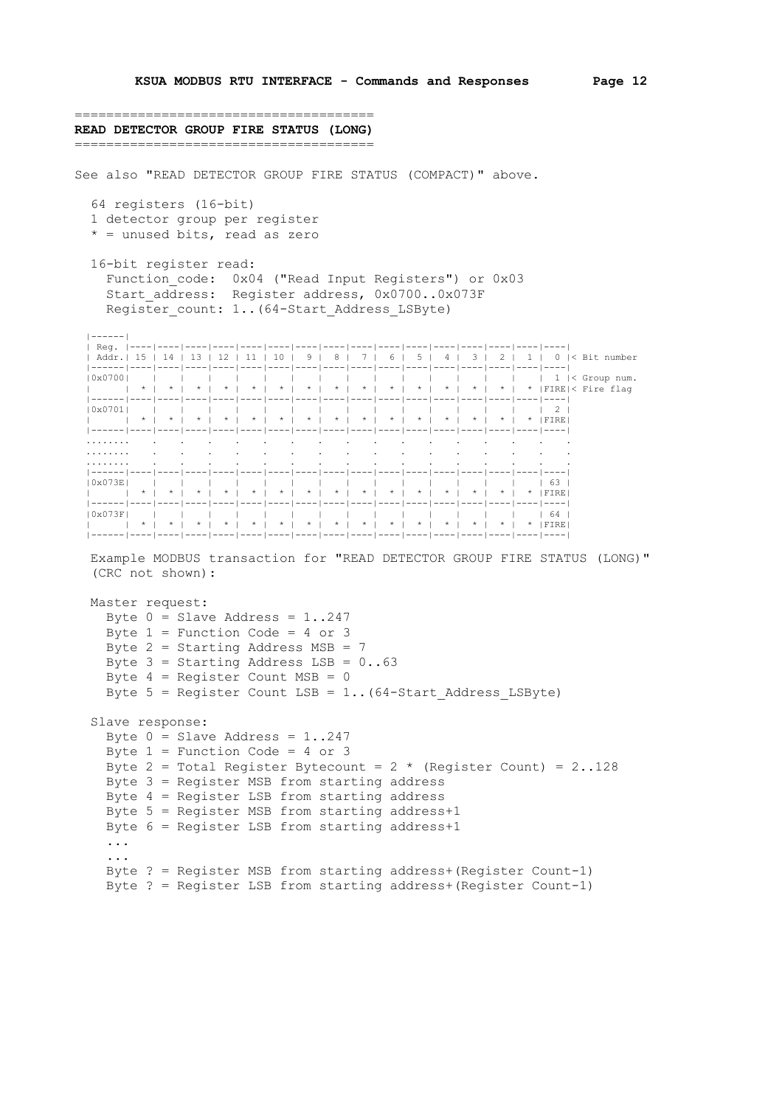====================================== **READ DETECTOR GROUP FIRE STATUS (LONG)** ====================================== See also "READ DETECTOR GROUP FIRE STATUS (COMPACT)" above. 64 registers (16-bit) 1 detector group per register  $*$  = unused bits, read as zero 16-bit register read: Function code: 0x04 ("Read Input Registers") or 0x03 Start\_address: Register address, 0x0700..0x073F Register count: 1..(64-Start Address LSByte) |------| | Reg. |----|----|----|----|----|----|----|----|----|----|----|----|----|----|----|----| | Addr.| 15 | 14 | 13 | 12 | 11 | 10 | 9 | 8 | 7 | 6 | 5 | 4 | 3 | 2 | 1 | 0 |< Bit number |------|----|----|----|----|----|----|----|----|----|----|----|----|----|----|----|----| |0x0700| | | | | | | | | | | | | | | | 1 |< Group num. | | \* | \* | \* | \* | \* | \* | \* | \* | \* | \* | \* | \* | \* | \* | \* |FIRE|< Fire flag |------|----|----|----|----|----|----|----|----|----|----|----|----|----|----|----|----| |0x0701| | | | | | | | | | | | | | | | 2 | | | \* | \* | \* | \* | \* | \* | \* | \* | \* | \* | \* | \* | \* | \* | \* |FIRE| |------|----|----|----|----|----|----|----|----|----|----|----|----|----|----|----|----| ........ . . . . . . . . . . . . . . . . ........ . . . . . . . . . . . . . . . . ........ . . . . . . . . . . . . . . . . |------|----|----|----|----|----|----|----|----|----|----|----|----|----|----|----|----| |0x073E| | | | | | | | | | | | | | | | 63 | | | \* | \* | \* | \* | \* | \* | \* | \* | \* | \* | \* | \* | \* | \* | \* |FIRE| |------|----|----|----|----|----|----|----|----|----|----|----|----|----|----|----|----| |0x073F| | | | | | | | | | | | | | | | 64 | | | \* | \* | \* | \* | \* | \* | \* | \* | \* | \* | \* | \* | \* | \* | \* |FIRE| |------|----|----|----|----|----|----|----|----|----|----|----|----|----|----|----|----| Example MODBUS transaction for "READ DETECTOR GROUP FIRE STATUS (LONG)" (CRC not shown): Master request: Byte  $0 =$  Slave Address = 1..247 Byte  $1$  = Function Code = 4 or 3 Byte  $2 =$  Starting Address MSB = 7 Byte  $3 =$  Starting Address LSB =  $0(.63)$ Byte  $4$  = Register Count MSB = 0 Byte  $5$  = Register Count LSB = 1.. (64-Start Address LSByte) Slave response: Byte  $0 =$  Slave Address = 1..247 Byte  $1$  = Function Code = 4 or 3 Byte 2 = Total Register Bytecount =  $2 \times$  (Register Count) = 2..128 Byte 3 = Register MSB from starting address Byte 4 = Register LSB from starting address Byte 5 = Register MSB from starting address+1 Byte 6 = Register LSB from starting address+1

 ... Byte ? = Register MSB from starting address+(Register Count-1) Byte ? = Register LSB from starting address+(Register Count-1)

...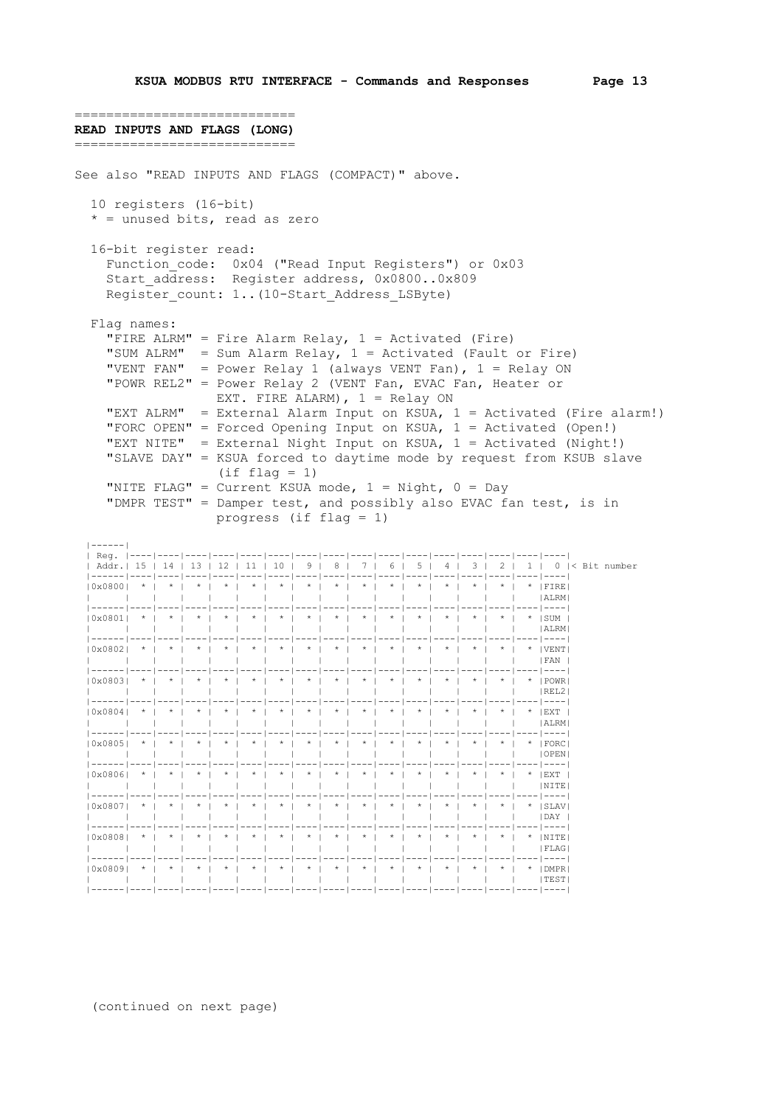```
============================
READ INPUTS AND FLAGS (LONG)
================================
See also "READ INPUTS AND FLAGS (COMPACT)" above.
   10 registers (16-bit)
  * = unused bits, read as zero
   16-bit register read:
    Function code: 0x04 ("Read Input Registers") or 0x03
      Start_address: Register address, 0x0800..0x809
    Register count: 1..(10-Start Address LSByte)
   Flag names:
     "FIRE ALRM" = Fire Alarm Relay, 1 = Activated (Fire)
 "SUM ALRM" = Sum Alarm Relay, 1 = Activated (Fault or Fire)
 "VENT FAN" = Power Relay 1 (always VENT Fan), 1 = Relay ON
 "POWR REL2" = Power Relay 2 (VENT Fan, EVAC Fan, Heater or
                     EXT. FIRE ALARM), 1 = Relay ON
      "EXT ALRM" = External Alarm Input on KSUA, 1 = Activated (Fire alarm!)
      "FORC OPEN" = Forced Opening Input on KSUA, 1 = Activated (Open!)
      "EXT NITE" = External Night Input on KSUA, 1 = Activated (Night!)
      "SLAVE DAY" = KSUA forced to daytime mode by request from KSUB slave
                     (if flag = 1)"NITE FLAG" = Current KSUA mode, 1 = Night, 0 = Day
      "DMPR TEST" = Damper test, and possibly also EVAC fan test, is in
                       progress (if flag = 1)
   |------|
   | Reg. |----|----|----|----|----|----|----|----|----|----|----|----|----|----|----|----|
 | Addr.| 15 | 14 | 13 | 12 | 11 | 10 | 9 | 8 | 7 | 6 | 5 | 4 | 3 | 2 | 1 | 0 |< Bit number
 |------|----|----|----|----|----|----|----|----|----|----|----|----|----|----|----|----|
   |0x0800| * | * | * | * | * | * | * | * | * | * | * | * | * | * | * |FIRE|
 | | | | | | | | | | | | | | | | |ALRM|
 |------|----|----|----|----|----|----|----|----|----|----|----|----|----|----|----|----|
   |0x0801| * | * | * | * | * | * | * | * | * | * | * | * | * | * | * |SUM |
                                                     | | | | | | | | | | | | | | | | |ALRM|
 |------|----|----|----|----|----|----|----|----|----|----|----|----|----|----|----|----|
 |0x0802| * | * | * | * | * | * | * | * | * | * | * | * | * | * | * |VENT|
 | | | | | | | | | | | | | | | | |FAN |
   |------|----|----|----|----|----|----|----|----|----|----|----|----|----|----|----|----|
                                                     \vert x \vert \vert \vert x \vert \vert \vert x \vert \vert \vert x \vert \vert \vert x \vert \vert \vert \vert x \vert \vert \vert \vert \vert \text{DWR} \vert | | | | | | | | | | | | | | | | |REL2|
 |------|----|----|----|----|----|----|----|----|----|----|----|----|----|----|----|----|
 |0x0804| * | * | * | * | * | * | * | * | * | * | * | * | * | * | * |EXT |
 | | | | | | | | | | | | | | | | |ALRM|
 |------|----|----|----|----|----|----|----|----|----|----|----|----|----|----|----|----|
   |0x0805| * | * | * | * | * | * | * | * | * | * | * | * | * | * | * |FORC|
 | | | | | | | | | | | | | | | | |OPEN|
            |------|----|----|----|----|----|----|----|----|----|----|----|----|----|----|----|----|
   |0x0806| * | * | * | * | * | * | * | * | * | * | * | * | * | * | * |EXT |
 | | | | | | | | | | | | | | | | |NITE|
                                           |------|----|----|----|----|----|----|----|----|----|----|----|----|----|----|----|----|
   |0x0807| * | * | * | * | * | * | * | * | * | * | * | * | * | * | * |SLAV|
 | | | | | | | | | | | | | | | | |DAY |
        |------|----|----|----|----|----|----|----|----|----|----|----|----|----|----|----|----|
   |0x0808| * | * | * | * | * | * | * | * | * | * | * | * | * | * | * |NITE|
 | | | | | | | | | | | | | | | | |FLAG|
           |------|----|----|----|----|----|----|----|----|----|----|----|----|----|----|----|----|
   |0x0809| * | * | * | * | * | * | * | * | * | * | * | * | * | * | * |DMPR|
 | | | | | | | | | | | | | | | | |TEST|
```
|------|----|----|----|----|----|----|----|----|----|----|----|----|----|----|----|----|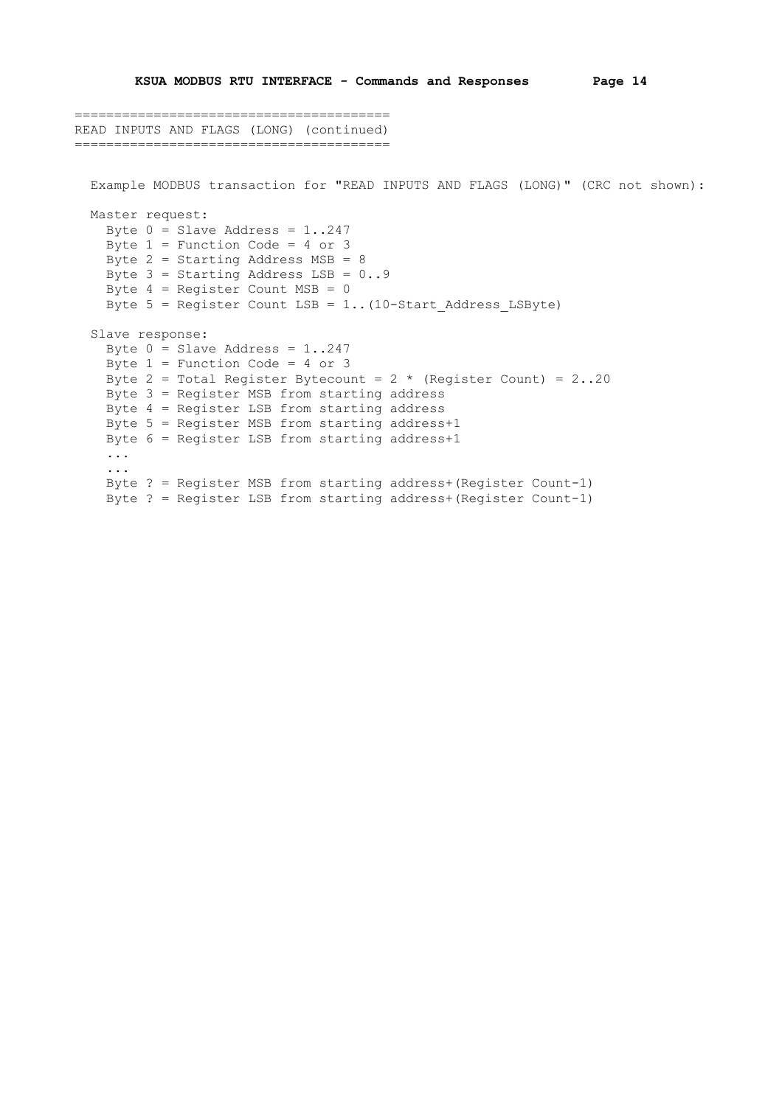```
========================================
READ INPUTS AND FLAGS (LONG) (continued)
========================================
   Example MODBUS transaction for "READ INPUTS AND FLAGS (LONG)" (CRC not shown):
   Master request:
   Byte 0 = Slave Address = 1..247
   Byte 1 = Function Code = 4 or 3
    Byte 2 = Starting Address MSB = 8
   Byte 3 = Starting Address LSB = 0..9Byte 4 = Register Count MSB = 0
     Byte 5 = Register Count LSB = 1..(10-Start_Address_LSByte)
   Slave response:
   Byte 0 = Slave Address = 1..247
    Byte 1 = Function Code = 4 or 3
   Byte 2 = Total Register Bytecount = 2 * (Register Count) = 2(.20) Byte 3 = Register MSB from starting address
    Byte 4 = Register LSB from starting address
    Byte 5 = Register MSB from starting address+1
     Byte 6 = Register LSB from starting address+1
     ...
     ...
     Byte ? = Register MSB from starting address+(Register Count-1)
    Byte ? = Register LSB from starting address+(Register Count-1)
```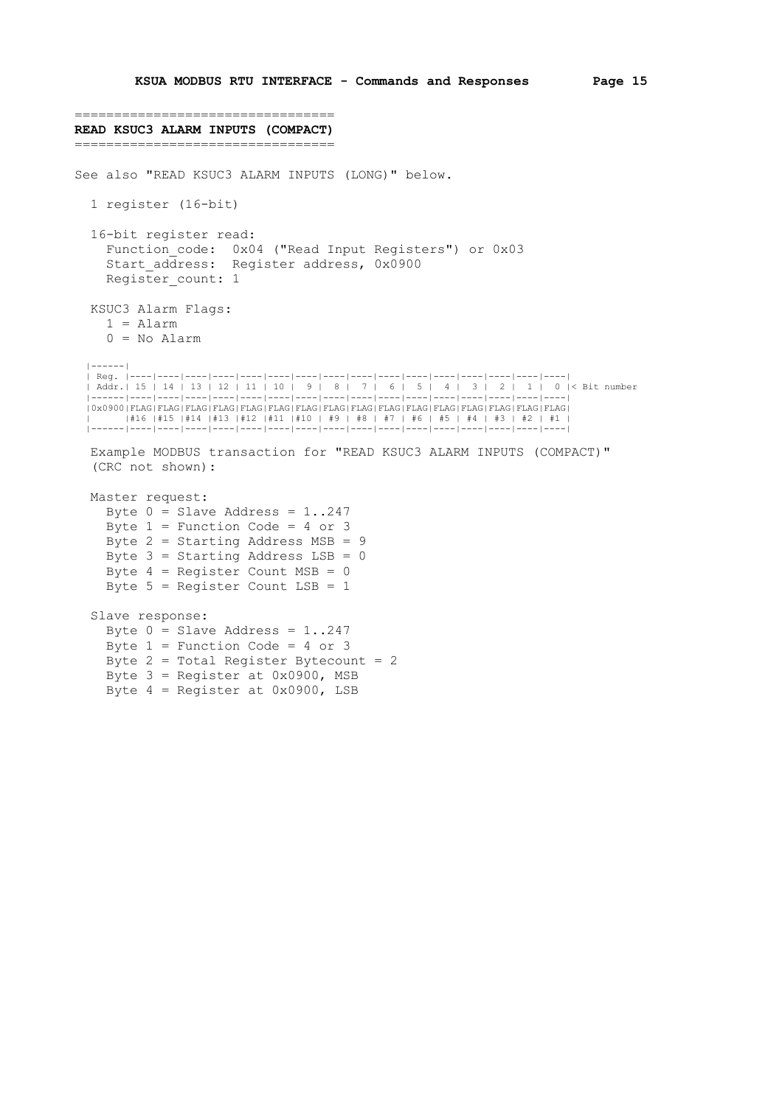```
=================================
READ KSUC3 ALARM INPUTS (COMPACT)
=================================
See also "READ KSUC3 ALARM INPUTS (LONG)" below.
   1 register (16-bit)
   16-bit register read:
    Function code: 0x04 ("Read Input Registers") or 0x03
    start address: Register address, 0x0900
    Register count: 1
   KSUC3 Alarm Flags:
     1 = Alarm
     0 = No Alarm
   |------|
   | Reg. |----|----|----|----|----|----|----|----|----|----|----|----|----|----|----|----|
   | Addr.| 15 | 14 | 13 | 12 | 11 | 10 | 9 | 8 | 7 | 6 | 5 | 4 | 3 | 2 | 1 | 0 |< Bit number
                  |------|----|----|----|----|----|----|----|----|----|----|----|----|----|----|----|----|
   |0x0900|FLAG|FLAG|FLAG|FLAG|FLAG|FLAG|FLAG|FLAG|FLAG|FLAG|FLAG|FLAG|FLAG|FLAG|FLAG|FLAG|
 | |#16 |#15 |#14 |#13 |#12 |#11 |#10 | #9 | #8 | #7 | #6 | #5 | #4 | #3 | #2 | #1 |
 |------|----|----|----|----|----|----|----|----|----|----|----|----|----|----|----|----|
   Example MODBUS transaction for "READ KSUC3 ALARM INPUTS (COMPACT)"
   (CRC not shown):
   Master request:
    Byte 0 = Slave Address = 1..247
    Byte 1 = Function Code = 4 or 3
    Byte 2 = Starting Address MSB = 9
    Byte 3 = Starting Address LSB = 0
    Byte 4 = Register Count MSB = 0
    Byte 5 = Register Count LSB = 1
   Slave response:
    Byte 0 = Slave Address = 1..247
    Byte 1 = Function Code = 4 or 3
    Byte 2 = Total Register Bytecount = 2 Byte 3 = Register at 0x0900, MSB
     Byte 4 = Register at 0x0900, LSB
```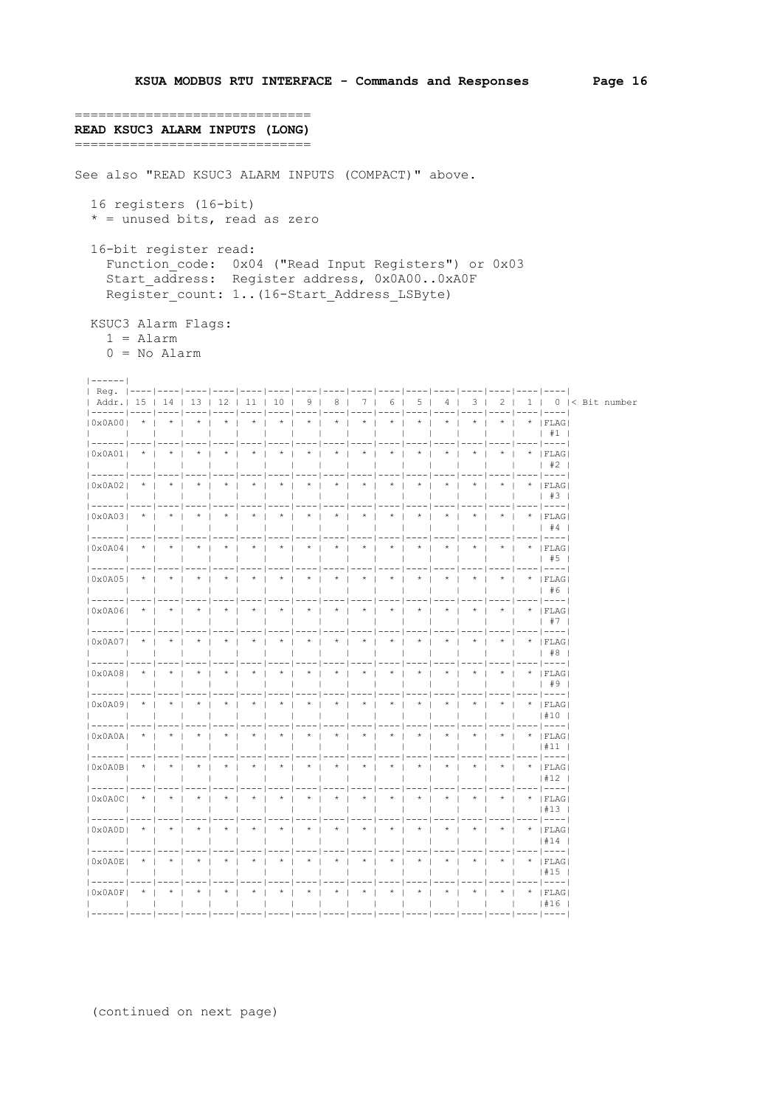=============================== READ KSUC3 ALARM INPUTS (LONG) ================================= See also "READ KSUC3 ALARM INPUTS (COMPACT)" above. 16 registers (16-bit)  $*$  = unused bits, read as zero 16-bit register read: Function code: 0x04 ("Read Input Registers") or 0x03 Start address: Register address, 0x0A00..0xA0F Register count: 1.. (16-Start Address LSByte) KSUC3 Alarm Flags:  $1 = \text{Alarm}$  $0 = No$  Alarm  $1 - - - - - - 1$  $|$  Req.  $| - - 1 - - 1 - - - - 1 -$ | Addr.| 15 | 14 | 13 | 12 | 11 | 10 | 9 | 8 | 7 | 6 | 5 | 4 | 3 | 2 | 1 | 0 |< Bit number  $\frac{1}{1}$  $\star$  i  $10 \times 03001 \times 1$  $\star$  i - 40  $\star$  $\star$  1  $\ddot{\phantom{1}}$  $_{\star}$  $\star$  i  $\star$  $\star$  $\star$  $\star$  $\star$  1 .<br>ו⊃מ:דידו <del>א</del>  $1 + 1$ --1----1----1----1 **House | House | House | House | Ho** --------- $(0 \times 0 \times 01)$  \* | \* | \* | \* | \* | \* |  $\star$   $\vdots$   $\star$   $\vdots$   $\star$  $\Box$  $1 \quad \#2$  $10 \times 0.2021$  \* | \* | \* |  $\star$   $\pm$  $\star$  1  $\star$  1  $\star$  1  $\star$  1  $\star$   $\pm$  $\star$  $\star$  1  $\star$   $\star$  1  $\star$  |  $\star$  | FLAG  $|$  #3 --1---- $*$  |  $*$  |  $*$  |  $\star$  |  $*$  +  $\star$  $\star$  1  $*$  |  $*$  |  $\star$  1  $\star$  |  $\star$  |  $\star$  |  $\star$  |  $\star$  | FLAG |  $10x0A031$  $\frac{1}{1}$  #4  $-- \star$   $\,$   $\,$   $\,$  $*$  |  $\star$  $|0x0A04|$  $\star$  |  $\star$  |  $\star$  $\star$  $\star$  $\star$  $\star$  $^{\star}$  $\star$  $\star$  $^\star$  |  $^\star$  | FLAG  $+ 45$  $|0x0A05|$  \* | \* | \* | \* | \* | \*  $\frac{1}{x}$   $\frac{1}{x}$   $\frac{1}{x}$   $\frac{1}{x}$   $\frac{1}{x}$  $\frac{1}{1}$   $\star$   $\frac{1}{1}$   $\star$  $\overline{1}$   $\overline{1}$   $\overline{1}$   $\overline{1}$   $\overline{1}$   $\overline{1}$   $\overline{1}$   $\overline{1}$   $\overline{1}$   $\overline{1}$   $\overline{1}$   $\overline{1}$   $\overline{1}$   $\overline{1}$   $\overline{1}$   $\overline{1}$   $\overline{1}$   $\overline{1}$   $\overline{1}$   $\overline{1}$   $\overline{1}$   $\overline{1}$   $\overline{1}$   $\overline{1}$   $\overline{$  $|$  #6  $- - - - 1$  $---$ .<br>| 0x0A06| \*| \*| \*| \*| \*| \*| \*| \*| \*| \*|  $\star$   $\cdot$   $\star$   $\cdot$  $\star$   $\vdots$   $\star$   $\vdots$   $\text{FT.AG}$  $\star$   $\pm$  $1 + 7$  $\star$   $\parallel$  $|0x0A07|$  \* | \* | \* | \* |  $\star$  |  $\star$  $\frac{1}{2}$   $\star$   $\frac{1}{2}$  $^{\circ}$   $^{\star}$  $\frac{1}{1}$   $\star$   $\frac{1}{1}$  $^\star$  $\star$   $\rightarrow$  1  $\star$  $*$  | FLAG |  $\blacksquare$  $+8$  $10 \times 0A081$  \* | \* | \* |  $\star$  $\star$  +  $\star$  +  $\star$  $\star$  |  $\star$  +  $\star$  $\star$  $*$  $\star$  i  $\star$  $*$  | FLAG  $+ 9$ = | ----| ---- | ---- | ---- | ---- | ---- | ---- | ---- | ---- | ---- | ---- | ---- | ---- | ---- | ---- | ---- |  $1#10$ ---- | ---- | ---- | ---- | ---- | ---- | ---- | -------|----|-------|----|----|----|----|--- $\star$  i  $10 \times 0 \times 0$  $\star$  +  $\star$  +  $\star$  1  $\star$  +  $\star$  +  $\star$  $\star$  1  $\star$  +  $\star$   $\pm$  $1 \pm 11$  $\mathbf{1}$  $-1 - - - - 1 - - -1 - -1 - -$  |  $-$  |  $-1 - -$ --|----|-- $-1 - --- 1 -- -1 - -- 1 -- -- -- - (0x0A0B)$  \* | \* | \* | \* | \* | \* |  $*$   $*$   $*$   $*$   $*$   $*$   $*$   $*$  $\star$  |  $\star$  |  $\star$  |  $\star$  |  $\star$  | FLAG  $| 12$  $\star$  |  $\star$  |  $\star$  |  $\star$  |  $\star$  | FIAG  $1#13$  $\| \cdot \|^*$  $|\cdot|$  FLAG  $| # 1 4$  $\star$   $\star$   $\star$   $\star$   $\star$   $\star$  $\star$  |  $\star$  | FLAG  $1#15$  $\mathbf{1}$  $1#16$  $\overline{\phantom{0}}$ j ------ j ---- j ---- j ---- j ---- j ---- j ---- j ---- j ---- j ---- j ---- j ---- j ---- j ---- j ---- j ---- j ---- j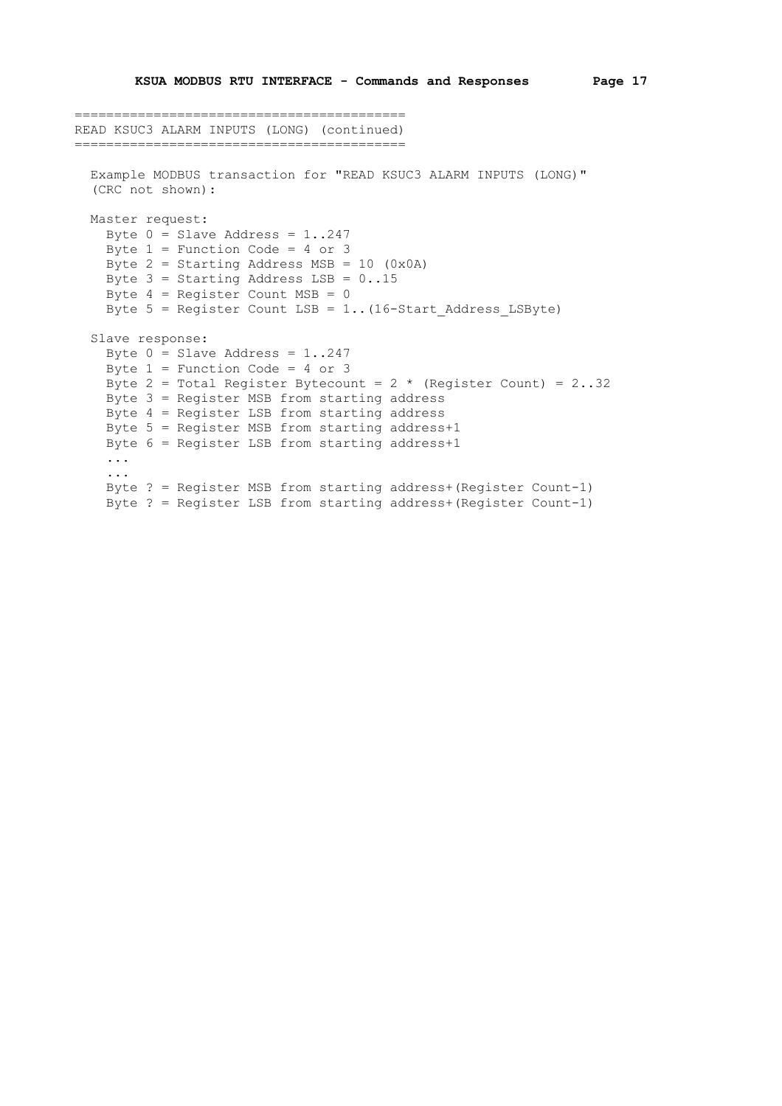```
==========================================
READ KSUC3 ALARM INPUTS (LONG) (continued)
==========================================
  Example MODBUS transaction for "READ KSUC3 ALARM INPUTS (LONG)"
   (CRC not shown):
   Master request:
    Byte 0 = Slave Address = 1..247
     Byte 1 = Function Code = 4 or 3
    Byte 2 = Starting Address MSB = 10 (0x0A)
    Byte 3 = Starting Address LSB = 0..15Byte 4 = Register Count MSB = 0
    Byte 5 = Register Count LSB = 1.. (16-Start Address LSByte)
   Slave response:
    Byte 0 = Slave Address = 1..247
    Byte 1 = Function Code = 4 or 3
    Byte 2 = Total Register Bytecount = 2 * (Register Count) = 2 \cdot .32 Byte 3 = Register MSB from starting address
     Byte 4 = Register LSB from starting address
     Byte 5 = Register MSB from starting address+1
     Byte 6 = Register LSB from starting address+1
     ...
     ...
     Byte ? = Register MSB from starting address+(Register Count-1)
     Byte ? = Register LSB from starting address+(Register Count-1)
```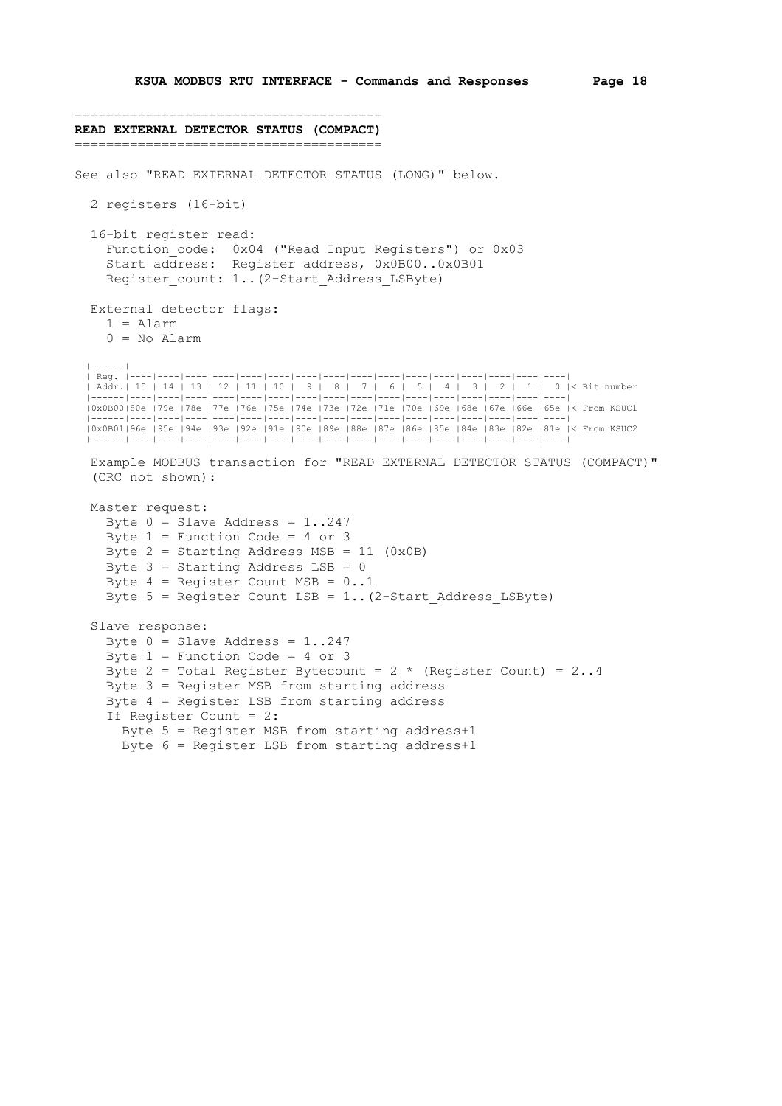```
=======================================
READ EXTERNAL DETECTOR STATUS (COMPACT)
=======================================
See also "READ EXTERNAL DETECTOR STATUS (LONG)" below.
   2 registers (16-bit)
   16-bit register read:
    Function code: 0x04 ("Read Input Registers") or 0x03
    start address: Register address, 0x0B00..0x0B01
    Register count: 1..(2-Start Address LSByte)
   External detector flags:
    1 = \text{Alarm} 0 = No Alarm
   |------|
   | Reg. |----|----|----|----|----|----|----|----|----|----|----|----|----|----|----|----|
   | Addr.| 15 | 14 | 13 | 12 | 11 | 10 | 9 | 8 | 7 | 6 | 5 | 4 | 3 | 2 | 1 | 0 |< Bit number
                                                     |------|----|----|----|----|----|----|----|----|----|----|----|----|----|----|----|----|
   |0x0B00|80e |79e |78e |77e |76e |75e |74e |73e |72e |71e |70e |69e |68e |67e |66e |65e |< From KSUC1
 |------|----|----|----|----|----|----|----|----|----|----|----|----|----|----|----|----|
 |0x0B01|96e |95e |94e |93e |92e |91e |90e |89e |88e |87e |86e |85e |84e |83e |82e |81e |< From KSUC2
   |------|----|----|----|----|----|----|----|----|----|----|----|----|----|----|----|----|
   Example MODBUS transaction for "READ EXTERNAL DETECTOR STATUS (COMPACT)"
   (CRC not shown):
   Master request:
    Byte 0 = Slave Address = 1..247
    Byte 1 = Function Code = 4 or 3
    Byte 2 = Starting Address MSB = 11 (0x0B)
    Byte 3 = Starting Address LSB = 0
    Byte 4 = Register Count MSB = 0..1Byte 5 = Register Count LSB = 1.. (2-Start Address LSByte)
   Slave response:
    Byte 0 = Slave Address = 1..247
    Byte 1 = Function Code = 4 or 3
    Byte 2 = Total Register Bytecount = 2 \times (Register Count) = 2..4 Byte 3 = Register MSB from starting address
     Byte 4 = Register LSB from starting address
     If Register Count = 2:
        Byte 5 = Register MSB from starting address+1
        Byte 6 = Register LSB from starting address+1
```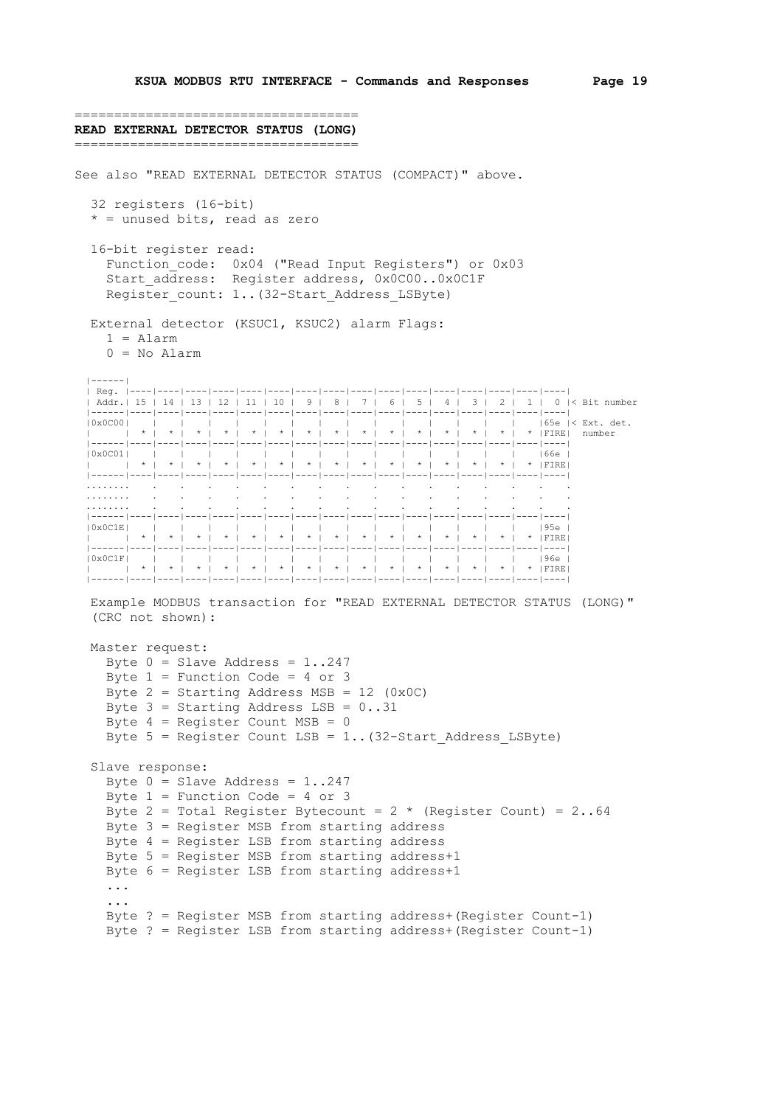```
====================================
READ EXTERNAL DETECTOR STATUS (LONG)
====================================
See also "READ EXTERNAL DETECTOR STATUS (COMPACT)" above.
   32 registers (16-bit)
  * = unused bits, read as zero
   16-bit register read:
    Function code: 0x04 ("Read Input Registers") or 0x03
     Start_address: Register address, 0x0C00..0x0C1F
    Register count: 1..(32-Start Address LSByte)
   External detector (KSUC1, KSUC2) alarm Flags:
    1 = \text{Alarm} 0 = No Alarm
  |------|
 | Reg. |----|----|----|----|----|----|----|----|----|----|----|----|----|----|----|----|
 | Addr.| 15 | 14 | 13 | 12 | 11 | 10 | 9 | 8 | 7 | 6 | 5 | 4 | 3 | 2 | 1 | 0 |< Bit number
   |------|----|----|----|----|----|----|----|----|----|----|----|----|----|----|----|----|
 |0x0C00| | | | | | | | | | | | | | | |65e |< Ext. det.
 | | * | * | * | * | * | * | * | * | * | * | * | * | * | * | * |FIRE| number
        |------|----|----|----|----|----|----|----|----|----|----|----|----|----|----|----|----|
 |0x0C01| | | | | | | | | | | | | | | |66e |
 | | * | * | * | * | * | * | * | * | * | * | * | * | * | * | * |FIRE|
   |------|----|----|----|----|----|----|----|----|----|----|----|----|----|----|----|----|
 ........ . . . . . . . . . . . . . . . .
 ........ . . . . . . . . . . . . . . . .
 ........ . . . . . . . . . . . . . . . .
   |------|----|----|----|----|----|----|----|----|----|----|----|----|----|----|----|----|
 |0x0C1E| | | | | | | | | | | | | | | |95e |
 | | * | * | * | * | * | * | * | * | * | * | * | * | * | * | * |FIRE|
   |------|----|----|----|----|----|----|----|----|----|----|----|----|----|----|----|----|
 |0x0C1F| | | | | | | | | | | | | | | |96e |
 | | * | * | * | * | * | * | * | * | * | * | * | * | * | * | * |FIRE|
   |------|----|----|----|----|----|----|----|----|----|----|----|----|----|----|----|----|
   Example MODBUS transaction for "READ EXTERNAL DETECTOR STATUS (LONG)"
   (CRC not shown):
   Master request:
    Byte 0 = Slave Address = 1..247
    Byte 1 = Function Code = 4 or 3
    Byte 2 = Starting Address MSB = 12 (0x0C)
    Byte 3 = Starting Address LSB = 0..31Byte 4 = Register Count MSB = 0
    Byte 5 = Register Count LSB = 1.. (32-Start Address LSByte)
   Slave response:
    Byte 0 = Slave Address = 1..247
    Byte 1 = Function Code = 4 or 3
    Byte 2 = Total Register Bytecount = 2 * (Register Count) = 2 \cdot .64 Byte 3 = Register MSB from starting address
     Byte 4 = Register LSB from starting address
    Byte 5 = Register MSB from starting address+1
     Byte 6 = Register LSB from starting address+1
     ...
     ...
     Byte ? = Register MSB from starting address+(Register Count-1)
     Byte ? = Register LSB from starting address+(Register Count-1)
```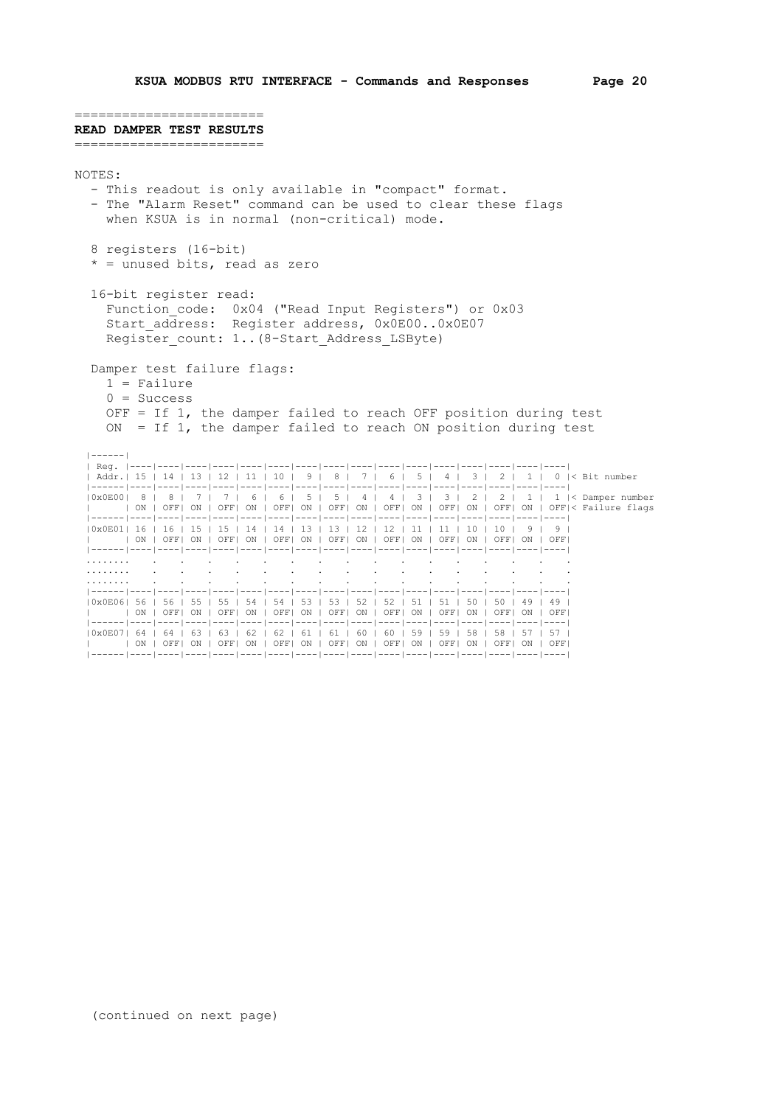======================== **READ DAMPER TEST RESULTS** ======================== NOTES: - This readout is only available in "compact" format. - The "Alarm Reset" command can be used to clear these flags when KSUA is in normal (non-critical) mode. 8 registers (16-bit)  $*$  = unused bits, read as zero 16-bit register read: Function\_code: 0x04 ("Read Input Registers") or 0x03 Start address: Register address, 0x0E00..0x0E07 Register count: 1..(8-Start Address LSByte) Damper test failure flags: 1 = Failure  $0 =$  Success OFF = If 1, the damper failed to reach OFF position during test ON = If  $1$ , the damper failed to reach ON position during test |------| | Reg. |----|----|----|----|----|----|----|----|----|----|----|----|----|----|----|----| | Addr.| 15 | 14 | 13 | 12 | 11 | 10 | 9 | 8 | 7 | 6 | 5 | 4 | 3 | 2 | 1 | 0 |< Bit number |------|----|----|----|----|----|----|----|----|----|----|----|----|----|----|----|----| |<br>|0x0E00| 8 | 8 | 7 | 7 | 6 | 6 | 5 | 5 | 4 | 4 | 3 | 3 | 2 | 2 | 1 | 1 |< Damper number | | ON | OFF| ON | OFF| ON | OFF| ON | OFF| ON | OFF| ON | OFF| ON | OFF| ON | OFF|< Failure flags |------|----|----|----|----|----|----|----|----|----|----|----|----|----|----|----|----| |0x0E01| 16 | 16 | 15 | 15 | 14 | 14 | 13 | 13 | 12 | 12 | 11 | 11 | 10 | 10 | 9 | 9 | | | ON | OFF| ON | OFF| ON | OFF| ON | OFF| ON | OFF| ON | OFF| ON | OFF| ON | OFF| |------|----|----|----|----|----|----|----|----|----|----|----|----|----|----|----|----| ........ . . . . . . . . . . . . . . . . ........ . . . . . . . . . . . . . . . . ........ . . . . . . . . . . . . . . . . |------|----|----|----|----|----|----|----|----|----|----|----|----|----|----|----|----| |0x0E06| 56 | 56 | 55 | 55 | 54 | 54 | 53 | 53 | 52 | 52 | 51 | 51 | 50 | 50 | 49 | 49 | | | ON | OFF| ON | OFF| ON | OFF| ON | OFF| ON | OFF| ON | OFF| ON | OFF| ON | OFF| |------|----|----|----|----|----|----|----|----|----|----|----|----|----|----|----|----| |0x0E07| 64 | 64 | 63 | 63 | 62 | 62 | 61 | 61 | 60 | 60 | 59 | 59 | 58 | 58 | 57 | 57 |

 | | ON | OFF| ON | OFF| ON | OFF| ON | OFF| ON | OFF| ON | OFF| ON | OFF| ON | OFF| |------|----|----|----|----|----|----|----|----|----|----|----|----|----|----|----|----|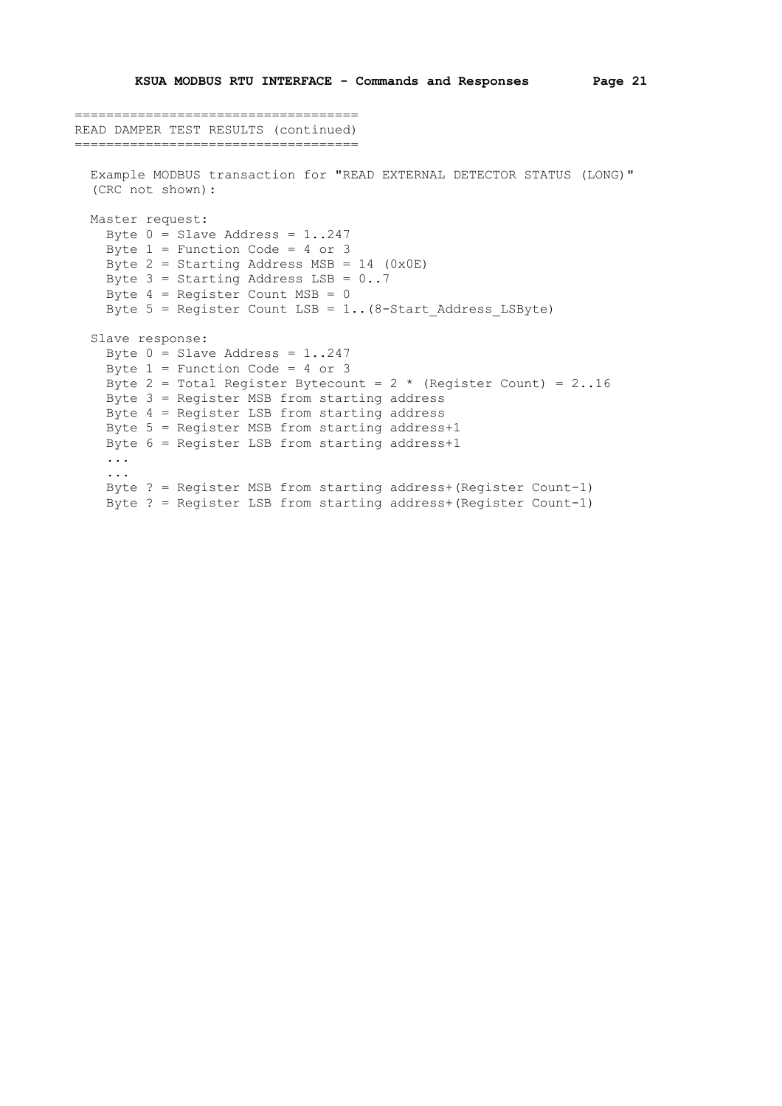```
====================================
READ DAMPER TEST RESULTS (continued)
====================================
  Example MODBUS transaction for "READ EXTERNAL DETECTOR STATUS (LONG)"
   (CRC not shown):
   Master request:
    Byte 0 = Slave Address = 1..247
     Byte 1 = Function Code = 4 or 3
    Byte 2 = Starting Address MSB = 14 (0x0E)
    Byte 3 = Starting Address LSB = 0..7Byte 4 = Register Count MSB = 0
    Byte 5 = Register Count LSB = 1.. (8-Start Address LSByte)
   Slave response:
    Byte 0 = Slave Address = 1..247
    Byte 1 = Function Code = 4 or 3
    Byte 2 = Total Register Bytecount = 2 * (Register Count) = 2 \cdot .16 Byte 3 = Register MSB from starting address
     Byte 4 = Register LSB from starting address
     Byte 5 = Register MSB from starting address+1
     Byte 6 = Register LSB from starting address+1
     ...
     ...
     Byte ? = Register MSB from starting address+(Register Count-1)
     Byte ? = Register LSB from starting address+(Register Count-1)
```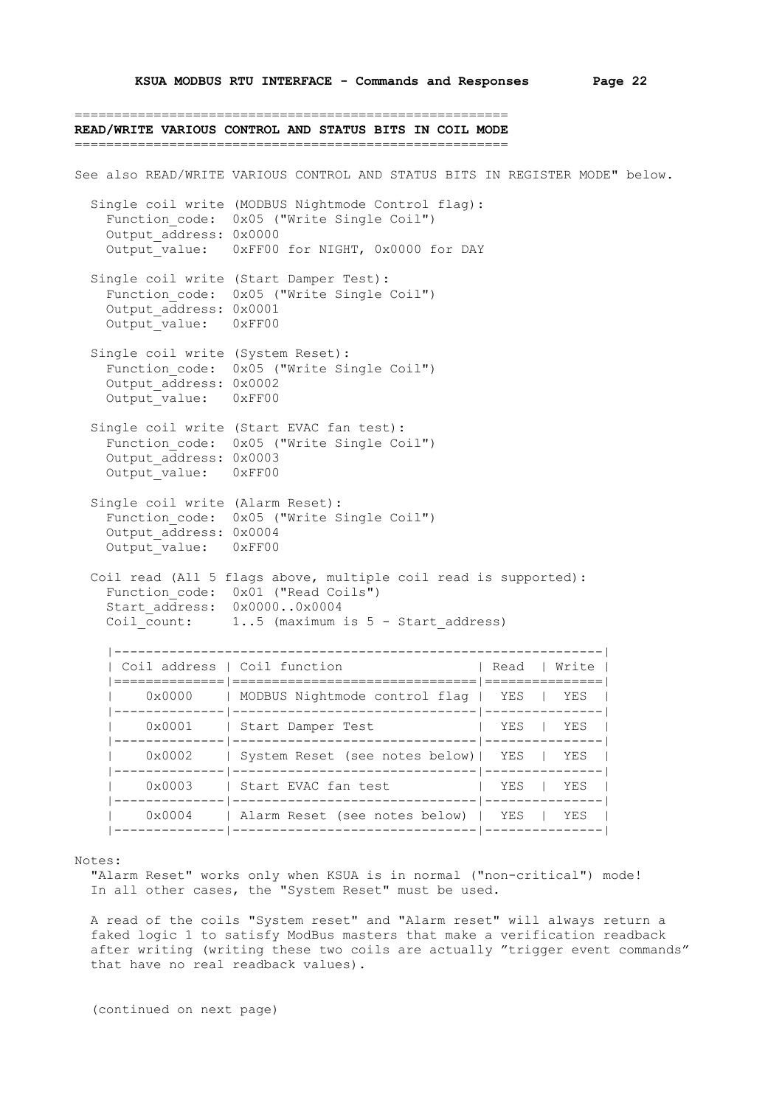=======================================================

**READ/WRITE VARIOUS CONTROL AND STATUS BITS IN COIL MODE** ======================================================= See also READ/WRITE VARIOUS CONTROL AND STATUS BITS IN REGISTER MODE" below. Single coil write (MODBUS Nightmode Control flag): Function code: 0x05 ("Write Single Coil") Output\_address: 0x0000 Output\_value: 0xFF00 for NIGHT, 0x0000 for DAY Single coil write (Start Damper Test): Function code: 0x05 ("Write Single Coil") Output\_address: 0x0001 Output value: 0xFF00 Single coil write (System Reset): Function\_code: 0x05 ("Write Single Coil") Output\_address: 0x0002 Output\_value: 0xFF00 Single coil write (Start EVAC fan test): Function\_code: 0x05 ("Write Single Coil") Output\_address: 0x0003 Output\_value: 0xFF00 Single coil write (Alarm Reset): Function code: 0x05 ("Write Single Coil") Output\_address: 0x0004 Output value: 0xFF00 Coil read (All 5 flags above, multiple coil read is supported): Function\_code: 0x01 ("Read Coils") Start\_address: 0x0000..0x0004 Coil count: 1..5 (maximum is 5 - Start address) |--------------------------------------------------------------| | Coil address | Coil function | Read | Write | |==============|===============================|===============| | 0x0000 | MODBUS Nightmode control flag | YES | YES | |--------------|-------------------------------|---------------| | 0x0001 | Start Damper Test | YES | YES | |--------------|-------------------------------|---------------| | 0x0002 | System Reset (see notes below)| YES | YES | |--------------|-------------------------------|---------------| | 0x0003 | Start EVAC fan test | YES | YES | |--------------|-------------------------------|---------------| | 0x0004 | Alarm Reset (see notes below) | YES | YES | |--------------|-------------------------------|---------------|

Notes:

 "Alarm Reset" works only when KSUA is in normal ("non-critical") mode! In all other cases, the "System Reset" must be used.

 A read of the coils "System reset" and "Alarm reset" will always return a faked logic 1 to satisfy ModBus masters that make a verification readback after writing (writing these two coils are actually "trigger event commands" that have no real readback values).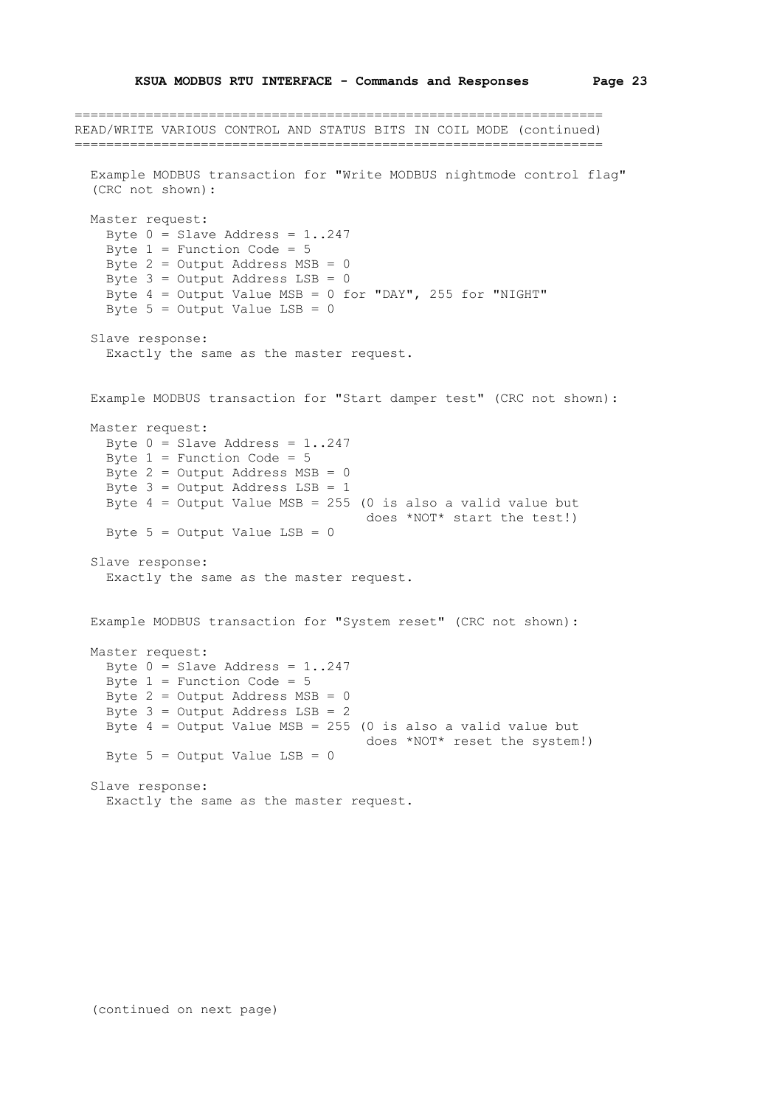```
===================================================================
READ/WRITE VARIOUS CONTROL AND STATUS BITS IN COIL MODE (continued)
===================================================================
   Example MODBUS transaction for "Write MODBUS nightmode control flag"
   (CRC not shown):
   Master request:
   Byte 0 = Slave Address = 1..247
    Byte 1 = Function Code = 5
     Byte 2 = Output Address MSB = 0
   Byte 3 = Output Address LSB = 0
    Byte 4 = Output Value MSB = 0 for "DAY", 255 for "NIGHT"
    Byte 5 = Output Value LSB = 0
   Slave response:
     Exactly the same as the master request.
   Example MODBUS transaction for "Start damper test" (CRC not shown):
   Master request:
   Byte 0 = Slave Address = 1..247
    Byte 1 = Function Code = 5 Byte 2 = Output Address MSB = 0
    Byte 3 = Output Address LSB = 1
    Byte 4 = Output Value MSB = 255 (0 is also a valid value but
                                     does *NOT* start the test!)
   Byte 5 = Output Value LSB = 0
   Slave response:
     Exactly the same as the master request.
   Example MODBUS transaction for "System reset" (CRC not shown):
   Master request:
   Byte 0 = Slave Address = 1..247
   Byte 1 = Function Code = 5Byte 2 = Output Address MSB = 0
   Byte 3 = Output Address LSB = 2
    Byte 4 = Output Value MSB = 255 (0 is also a valid value but
                                      does *NOT* reset the system!)
    Byte 5 = Output Value LSB = 0
   Slave response:
     Exactly the same as the master request.
```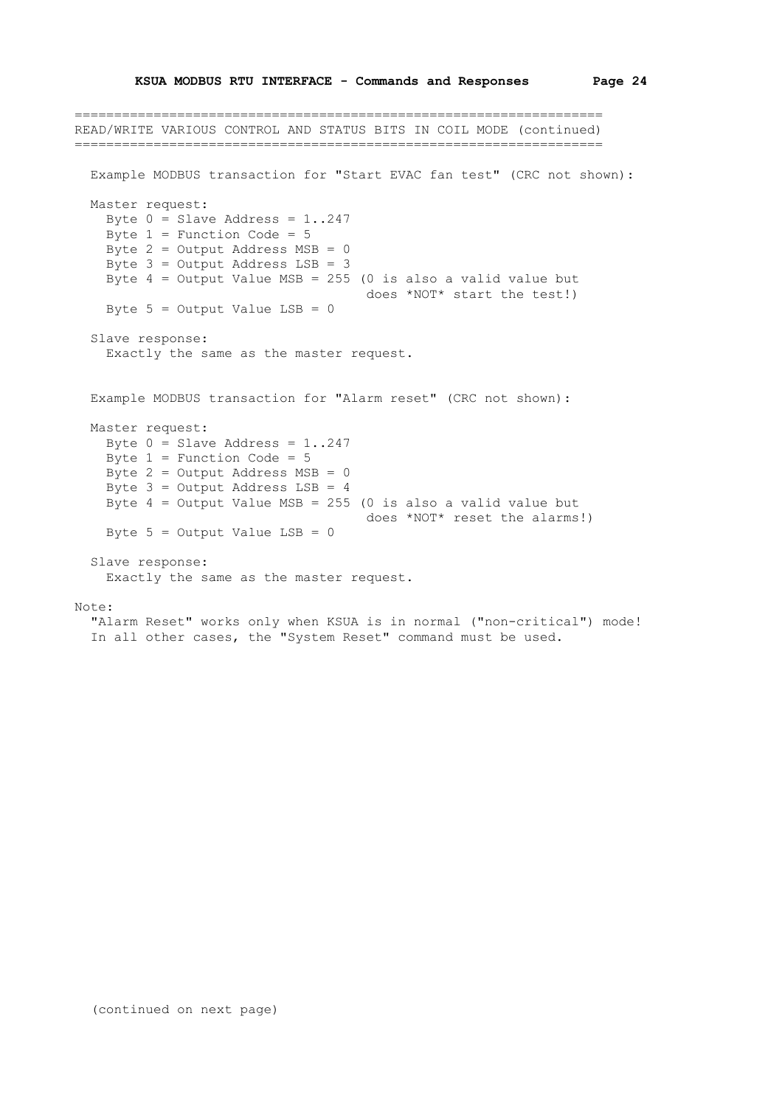=================================================================== READ/WRITE VARIOUS CONTROL AND STATUS BITS IN COIL MODE (continued) =================================================================== Example MODBUS transaction for "Start EVAC fan test" (CRC not shown): Master request: Byte  $0 =$  Slave Address = 1..247 Byte  $1$  = Function Code = 5 Byte 2 = Output Address MSB = 0 Byte 3 = Output Address LSB = 3 Byte  $4 =$  Output Value MSB = 255 (0 is also a valid value but does \*NOT\* start the test!) Byte  $5 =$  Output Value LSB = 0 Slave response: Exactly the same as the master request. Example MODBUS transaction for "Alarm reset" (CRC not shown): Master request: Byte  $0 =$  Slave Address = 1..247 Byte  $1$  = Function Code =  $5$  Byte 2 = Output Address MSB = 0 Byte  $3 =$  Output Address LSB = 4 Byte  $4 =$  Output Value MSB = 255 (0 is also a valid value but does \*NOT\* reset the alarms!) Byte  $5 =$  Output Value LSB = 0 Slave response: Exactly the same as the master request. Note:

 "Alarm Reset" works only when KSUA is in normal ("non-critical") mode! In all other cases, the "System Reset" command must be used.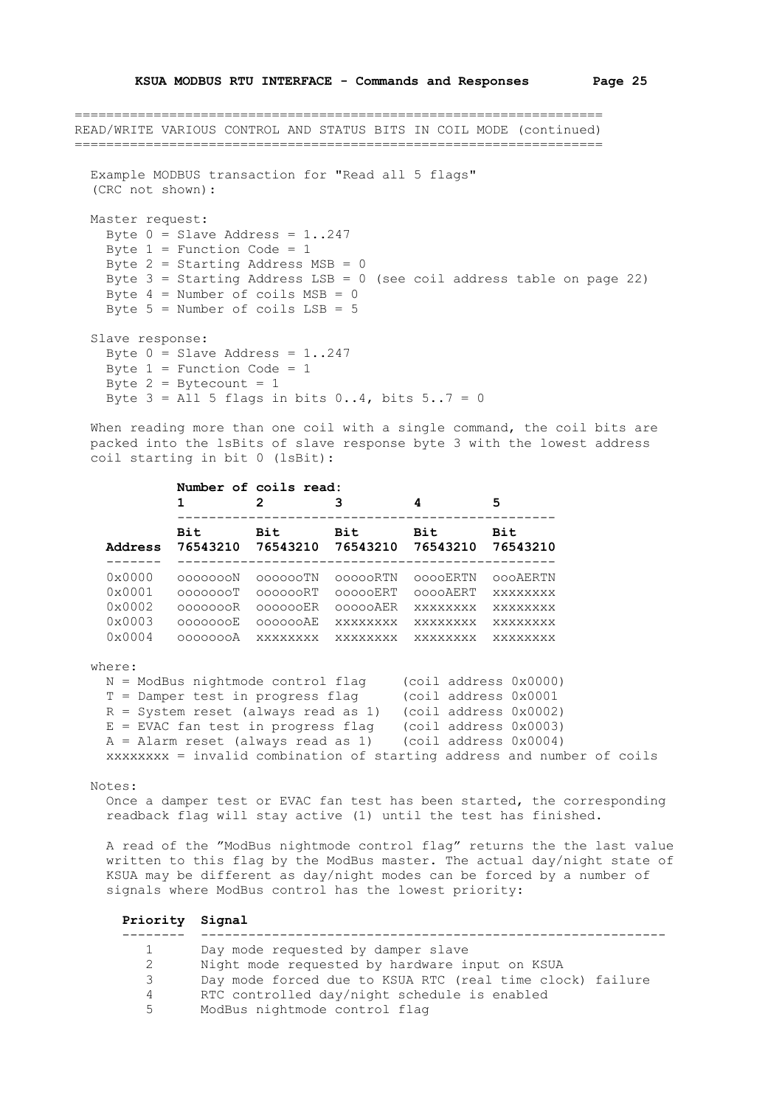=================================================================== READ/WRITE VARIOUS CONTROL AND STATUS BITS IN COIL MODE (continued) =================================================================== Example MODBUS transaction for "Read all 5 flags" (CRC not shown): Master request: Byte  $0 =$  Slave Address = 1..247 Byte  $1$  = Function Code =  $1$ Byte  $2 =$  Starting Address MSB = 0 Byte 3 = Starting Address LSB = 0 (see coil address table on page 22) Byte  $4 =$  Number of coils  $MSB = 0$ Byte  $5 =$  Number of coils  $LSB = 5$  Slave response: Byte  $0 =$  Slave Address = 1..247 Byte  $1$  = Function Code =  $1$ Byte  $2 =$  Bytecount = 1 Byte  $3 =$  All 5 flags in bits 0..4, bits  $5..7 = 0$ 

When reading more than one coil with a single command, the coil bits are packed into the lsBits of slave response byte 3 with the lowest address coil starting in bit 0 (lsBit):

|                 | 1        | Number of coils read:<br>2<br>з |                 | 4               | 5        |  |
|-----------------|----------|---------------------------------|-----------------|-----------------|----------|--|
| Address         | Bit      | Bit                             | Bit             | Bit             | Bit      |  |
|                 | 76543210 | 76543210                        | 76543210        | 76543210        | 76543210 |  |
| $0 \times 0000$ | agaaqaaN | 000000TN                        | 00000RTN        | 0000ERTN        | 000AERTN |  |
| $0 \times 0001$ | COOOOOOT | 000000RT                        | 00000ERT        | 0000AERT        | XXXXXXXX |  |
| $0 \times 0002$ | agoogooR | 000000ER                        | 00000AER        | <b>XXXXXXXX</b> | xxxxxxxx |  |
| $0 \times 0003$ | 0000000E | 000000AE                        | <b>XXXXXXXX</b> | <b>XXXXXXXX</b> | xxxxxxxx |  |
| $0 \times 0004$ | adaadaa  | xxxxxxxx                        | xxxxxxxx        | xxxxxxxx        | xxxxxxxx |  |

## where:

 N = ModBus nightmode control flag (coil address 0x0000) T = Damper test in progress flag (coil address 0x0001 R = System reset (always read as 1) (coil address 0x0002) E = EVAC fan test in progress flag (coil address 0x0003) A = Alarm reset (always read as 1) (coil address 0x0004) xxxxxxxx = invalid combination of starting address and number of coils

## Notes:

 Once a damper test or EVAC fan test has been started, the corresponding readback flag will stay active (1) until the test has finished.

 A read of the "ModBus nightmode control flag" returns the the last value written to this flag by the ModBus master. The actual day/night state of KSUA may be different as day/night modes can be forced by a number of signals where ModBus control has the lowest priority:

| Priority Signal |                                                           |
|-----------------|-----------------------------------------------------------|
|                 | Day mode requested by damper slave                        |
| 2               | Night mode requested by hardware input on KSUA            |
| 3               | Day mode forced due to KSUA RTC (real time clock) failure |
| 4               | RTC controlled day/night schedule is enabled              |
| 5               | ModBus nightmode control flag                             |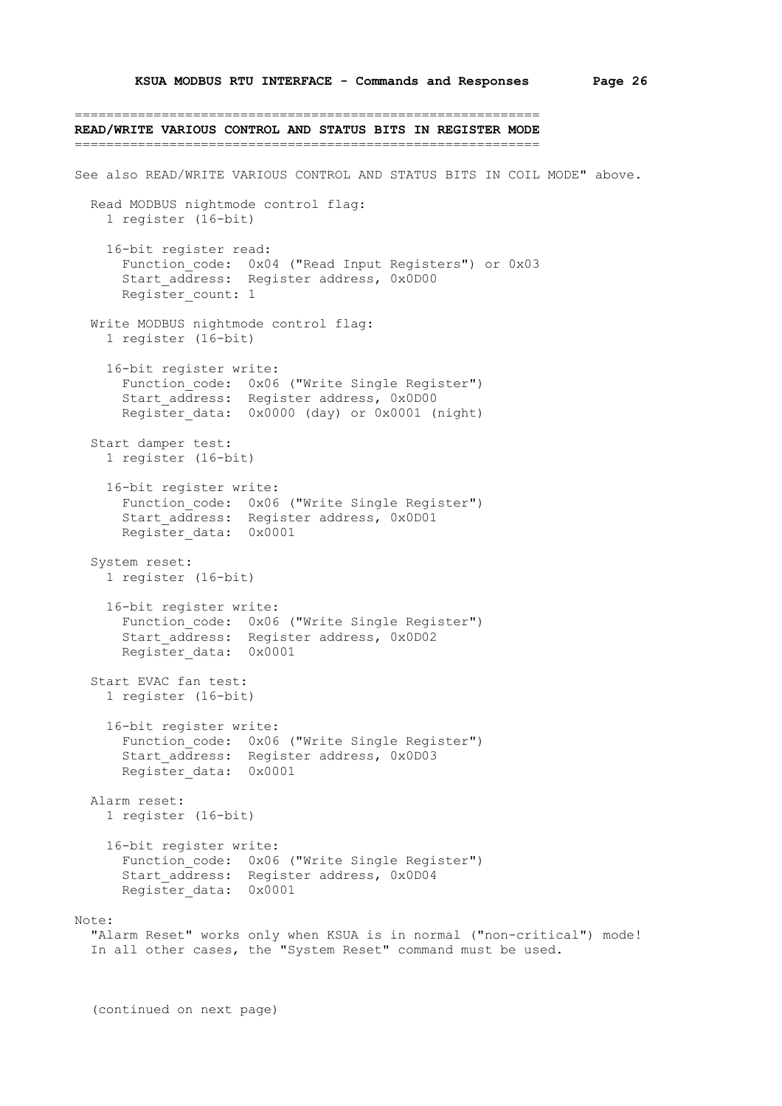=========================================================== **READ/WRITE VARIOUS CONTROL AND STATUS BITS IN REGISTER MODE** =========================================================== See also READ/WRITE VARIOUS CONTROL AND STATUS BITS IN COIL MODE" above. Read MODBUS nightmode control flag: 1 register (16-bit) 16-bit register read: Function\_code: 0x04 ("Read Input Registers") or 0x03 Start address: Register address, 0x0D00 Register count: 1 Write MODBUS nightmode control flag: 1 register (16-bit) 16-bit register write: Function code: 0x06 ("Write Single Register") Start address: Register address, 0x0D00 Register data: 0x0000 (day) or 0x0001 (night) Start damper test: 1 register (16-bit) 16-bit register write: Function\_code: 0x06 ("Write Single Register") Start address: Register address, 0x0D01 Register\_data: 0x0001 System reset: 1 register (16-bit) 16-bit register write: Function code: 0x06 ("Write Single Register") Start address: Register address, 0x0D02 Register data: 0x0001 Start EVAC fan test: 1 register (16-bit) 16-bit register write: Function code: 0x06 ("Write Single Register") Start address: Register address, 0x0D03 Register\_data: 0x0001 Alarm reset: 1 register (16-bit) 16-bit register write: Function code: 0x06 ("Write Single Register") Start address: Register address, 0x0D04 Register\_data: 0x0001  $N \cap \vdash \varphi$ : "Alarm Reset" works only when KSUA is in normal ("non-critical") mode! In all other cases, the "System Reset" command must be used.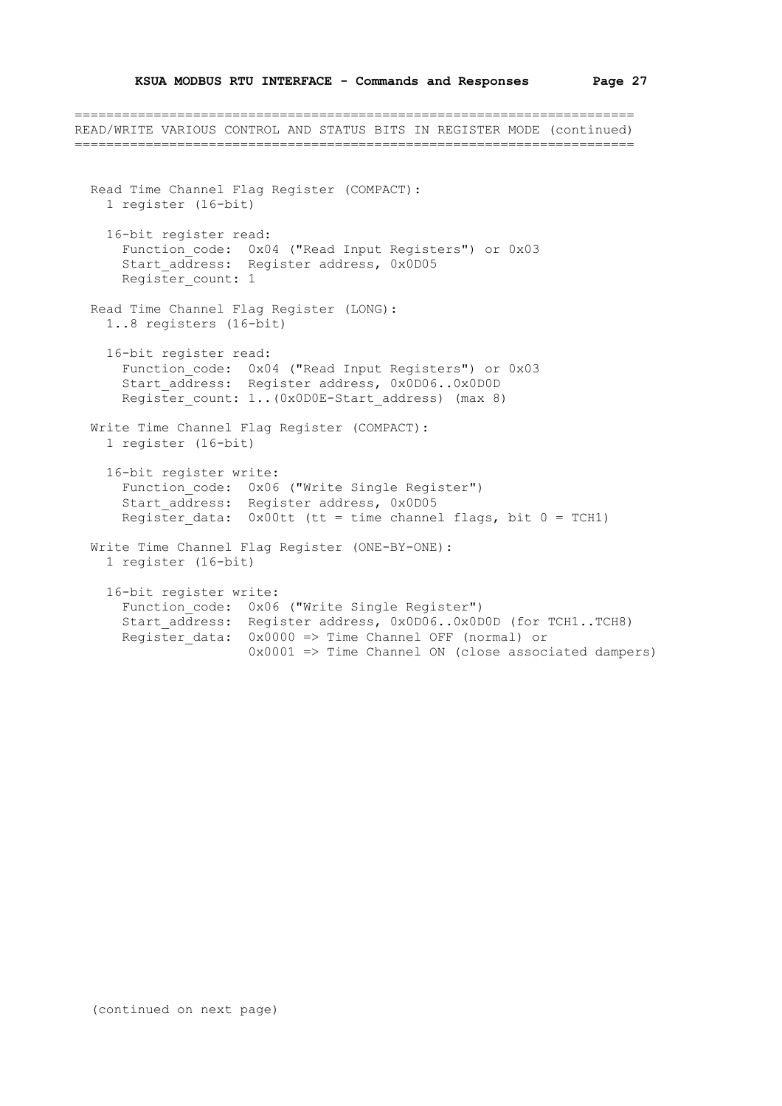=======================================================================

READ/WRITE VARIOUS CONTROL AND STATUS BITS IN REGISTER MODE (continued) ======================================================================= Read Time Channel Flag Register (COMPACT): 1 register (16-bit) 16-bit register read: Function\_code: 0x04 ("Read Input Registers") or 0x03 Start\_address: Register address, 0x0D05 Register count: 1 Read Time Channel Flag Register (LONG): 1..8 registers (16-bit) 16-bit register read: Function\_code: 0x04 ("Read Input Registers") or 0x03 Start address: Register address, 0x0D06..0x0D0D Register count: 1..(0x0D0E-Start address) (max 8) Write Time Channel Flag Register (COMPACT): 1 register (16-bit) 16-bit register write: Function\_code: 0x06 ("Write Single Register") Start\_address: Register address, 0x0D05 Register data:  $0x00tt$  (tt = time channel flags, bit  $0 = TCH1$ ) Write Time Channel Flag Register (ONE-BY-ONE): 1 register (16-bit) 16-bit register write: Function code: 0x06 ("Write Single Register") Start address: Register address, 0x0D06..0x0D0D (for TCH1..TCH8) Register data: 0x0000 => Time Channel OFF (normal) or  $0x0001$  => Time Channel ON (close associated dampers)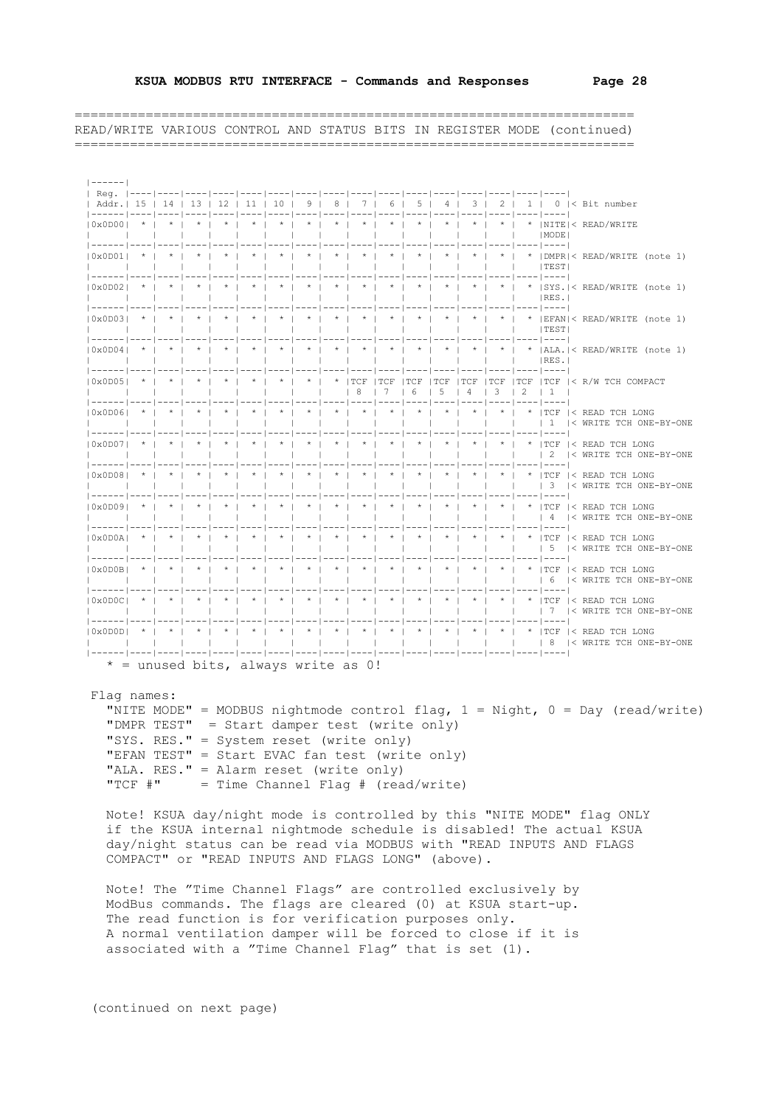|------| | Reg. |----|----|----|----|----|----|----|----|----|----|----|----|----|----|----|----| | Addr.| 15 | 14 | 13 | 12 | 11 | 10 | 9 | 8 | 7 | 6 | 5 | 4 | 3 | 2 | 1 | 0 |< Bit number |------|----|----|----|----|----|----|----|----|----|----|----|----|----|----|----|----| |0x0D00| \* | \* | \* | \* | \* | \* | \* | \* | \* | \* | \* | \* | \* | \* | \* |NITE|< READ/WRITE | | | | | | | | | | | | | | | | |MODE| |------|----|----|----|----|----|----|----|----|----|----|----|----|----|----|----|----| |0x0D01| \* | \* | \* | \* | \* | \* | \* | \* | \* | \* | \* | \* | \* | \* | \* |DMPR|< READ/WRITE (note 1) | | | | | | | | | | | | | | | | |TEST| |------|----|----|----|----|----|----|----|----|----|----|----|----|----|----|----|----| |0x0D02| \* | \* | \* | \* | \* | \* | \* | \* | \* | \* | \* | \* | \* | \* | \* |SYS.|< READ/WRITE (note 1) | | | | | | | | | | | | | | | | |RES.| |------|----|----|----|----|----|----|----|----|----|----|----|----|----|----|----|----| |0x0D03| \* | \* | \* | \* | \* | \* | \* | \* | \* | \* | \* | \* | \* | \* | \* |EFAN|< READ/WRITE (note 1) | | | | | | | | | | | | | | | | |TEST| |------|----|----|----|----|----|----|----|----|----|----|----|----|----|----|----|----| |0x0D04| \* | \* | \* | \* | \* | \* | \* | \* | \* | \* | \* | \* | \* | \* | \* |ALA.|< READ/WRITE (note 1) | | | | | | | | | | | | | | | | |RES.| |------|----|----|----|----|----|----|----|----|----|----|----|----|----|----|----|----| |0x0D05| \* | \* | \* | \* | \* | \* | \* | \* |TCF |TCF |TCF |TCF |TCF |TCF |TCF |TCF |< R/W TCH COMPACT | | | | | | | | | | 8 | 7 | 6 | 5 | 4 | 3 | 2 | 1 | |------|----|----|----|----|----|----|----|----|----|----|----|----|----|----|----|----| |0x0D06| \* | \* | \* | \* | \* | \* | \* | \* | \* | \* | \* | \* | \* | \* | \* |TCF |< READ TCH LONG | | | | | | | | | | | | | | | | | 1 |< WRITE TCH ONE-BY-ONE |------|----|----|----|----|----|----|----|----|----|----|----|----|----|----|----|----| |0x0D07| \* | \* | \* | \* | \* | \* | \* | \* | \* | \* | \* | \* | \* | \* | \* |TCF |< READ TCH LONG | | | | | | | | | | | | | | | | | 2 |< WRITE TCH ONE-BY-ONE |------|----|----|----|----|----|----|----|----|----|----|----|----|----|----|----|----| |0x0D08| \* | \* | \* | \* | \* | \* | \* | \* | \* | \* | \* | \* | \* | \* | \* |TCF |< READ TCH LONG  $| 3 | <$  NRTTE TCH ONE-BY-ONE |------|----|----|----|----|----|----|----|----|----|----|----|----|----|----|----|----| |0x0D09| \* | \* | \* | \* | \* | \* | \* | \* | \* | \* | \* | \* | \* | \* | \* |TCF |< READ TCH LONG | | | | | | | | | | | | | | | | | 4 |< WRITE TCH ONE-BY-ONE |------|----|----|----|----|----|----|----|----|----|----|----|----|----|----|----|----| |0x0D0A| \* | \* | \* | \* | \* | \* | \* | \* | \* | \* | \* | \* | \* | \* | \* |TCF |< READ TCH LONG | | | | | | | | | | | | | | | | | 5 |< WRITE TCH ONE-BY-ONE |------|----|----|----|----|----|----|----|----|----|----|----|----|----|----|----|----| |0x0D0B| \* | \* | \* | \* | \* | \* | \* | \* | \* | \* | \* | \* | \* | \* | \* |TCF |< READ TCH LONG | | | | | | | | | | | | | | | | | 6 |< WRITE TCH ONE-BY-ONE |------|----|----|----|----|----|----|----|----|----|----|----|----|----|----|----|----| |0x0D0C| \* | \* | \* | \* | \* | \* | \* | \* | \* | \* | \* | \* | \* | \* | \* |TCF |< READ TCH LONG | | | | | | | | | | | | | | | | | 7 |< WRITE TCH ONE-BY-ONE |------|----|----|----|----|----|----|----|----|----|----|----|----|----|----|----|----| |0x0D0D| \* | \* | \* | \* | \* | \* | \* | \* | \* | \* | \* | \* | \* | \* | \* |TCF |< READ TCH LONG | | | | | | | | | | | | | | | | | 8 |< WRITE TCH ONE-BY-ONE |------|----|----|----|----|----|----|----|----|----|----|----|----|----|----|----|----|  $*$  = unused bits, always write as  $0!$  Flag names: "NITE MODE" = MODBUS nightmode control flag,  $1 =$  Night,  $0 =$  Day (read/write) "DMPR TEST" = Start damper test (write only) "SYS. RES." = System reset (write only) "EFAN TEST" = Start EVAC fan test (write only) "ALA. RES." = Alarm reset (write only)<br>"TCF #" = Time Channel Flag # (rea  $=$  Time Channel Flag # (read/write) Note! KSUA day/night mode is controlled by this "NITE MODE" flag ONLY if the KSUA internal nightmode schedule is disabled! The actual KSUA day/night status can be read via MODBUS with "READ INPUTS AND FLAGS COMPACT" or "READ INPUTS AND FLAGS LONG" (above). Note! The "Time Channel Flags" are controlled exclusively by ModBus commands. The flags are cleared (0) at KSUA start-up. The read function is for verification purposes only. A normal ventilation damper will be forced to close if it is associated with a "Time Channel Flag" that is set (1).

======================================================================= READ/WRITE VARIOUS CONTROL AND STATUS BITS IN REGISTER MODE (continued) =======================================================================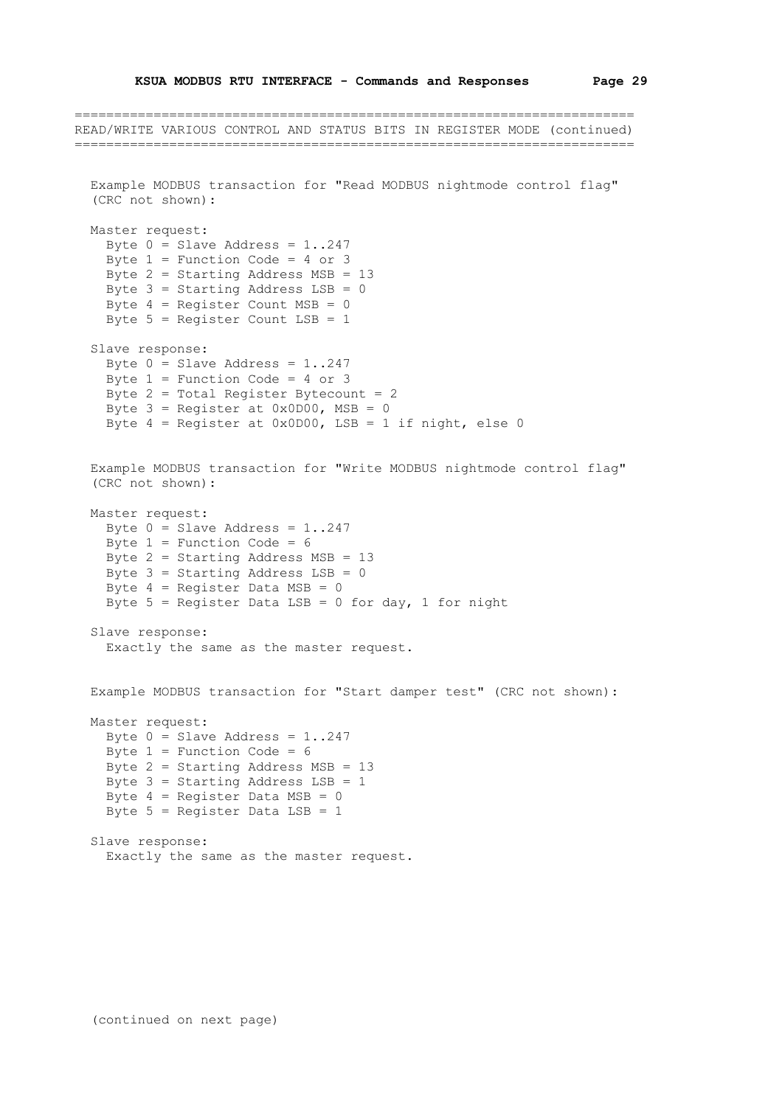```
=======================================================================
READ/WRITE VARIOUS CONTROL AND STATUS BITS IN REGISTER MODE (continued)
=======================================================================
   Example MODBUS transaction for "Read MODBUS nightmode control flag"
   (CRC not shown):
   Master request:
    Byte 0 = Slave Address = 1..247
    Byte 1 = Function Code = 4 or 3
     Byte 2 = Starting Address MSB = 13
    Byte 3 = Starting Address LSB = 0
    Byte 4 = Register Count MSB = 0
     Byte 5 = Register Count LSB = 1
   Slave response:
    Byte 0 = Slave Address = 1..247
    Byte 1 = Function Code = 4 or 3
    Byte 2 = \text{Total Register Between} = 2Byte 3 = \text{Request} at 0 \times 0 D00, MSB = 0
    Byte 4 = Register at 0x0D00, LSB = 1 if night, else 0
   Example MODBUS transaction for "Write MODBUS nightmode control flag"
   (CRC not shown):
   Master request:
    Byte 0 = Slave Address = 1..247
    Byte 1 = Function Code = 6
    Byte 2 = Starting Address MSB = 13
    Byte 3 = Starting Address LSB = 0
    Byte 4 = Register Data MSB = 0
    Byte 5 = Register Data LSB = 0 for day, 1 for night
   Slave response:
     Exactly the same as the master request.
   Example MODBUS transaction for "Start damper test" (CRC not shown):
   Master request:
    Byte 0 = Slave Address = 1..247
    Byte 1 = Function Code = 6Byte 2 = Starting Address MSB = 13
    Byte 3 = Starting Address LSB = 1
    Byte 4 = Register Data MSB = 0
     Byte 5 = Register Data LSB = 1
   Slave response:
```
(continued on next page)

Exactly the same as the master request.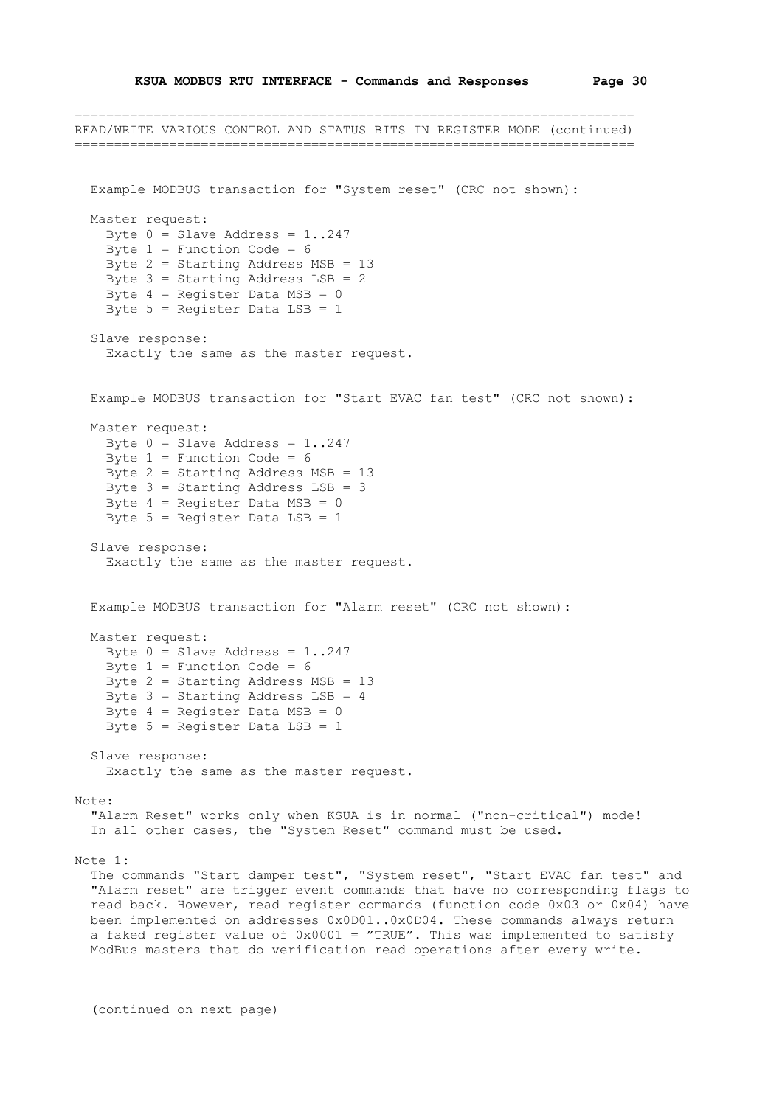=======================================================================

```
READ/WRITE VARIOUS CONTROL AND STATUS BITS IN REGISTER MODE (continued)
=======================================================================
   Example MODBUS transaction for "System reset" (CRC not shown):
   Master request:
   Byte 0 = Slave Address = 1..247
    Byte 1 = Function Code = 6
    Byte 2 = Starting Address MSB = 13
    Byte 3 = Starting Address LSB = 2
    Byte 4 = Register Data MSB = 0
    Byte 5 = Register Data LSB = 1
   Slave response:
     Exactly the same as the master request.
   Example MODBUS transaction for "Start EVAC fan test" (CRC not shown):
   Master request:
   Byte 0 = Slave Address = 1..247
    Byte 1 = Function Code = 6
     Byte 2 = Starting Address MSB = 13
    Byte 3 = Starting Address LSB = 3Byte 4 = Register Data MSB = 0
     Byte 5 = Register Data LSB = 1
   Slave response:
    Exactly the same as the master request.
   Example MODBUS transaction for "Alarm reset" (CRC not shown):
   Master request:
   Byte 0 = Slave Address = 1..247
   Byte 1 = Function Code = 6
   Byte 2 = Starting Address MSB = 13
   Byte 3 = Starting Address LSB = 4
    Byte 4 = Register Data MSB = 0
    Byte 5 = Register Data LSB = 1
   Slave response:
     Exactly the same as the master request.
Note:
   "Alarm Reset" works only when KSUA is in normal ("non-critical") mode!
   In all other cases, the "System Reset" command must be used.
Note 1:
   The commands "Start damper test", "System reset", "Start EVAC fan test" and
   "Alarm reset" are trigger event commands that have no corresponding flags to
   read back. However, read register commands (function code 0x03 or 0x04) have
   been implemented on addresses 0x0D01..0x0D04. These commands always return
  a faked register value of 0x0001 = "TRUE". This was implemented to satisfy
   ModBus masters that do verification read operations after every write.
```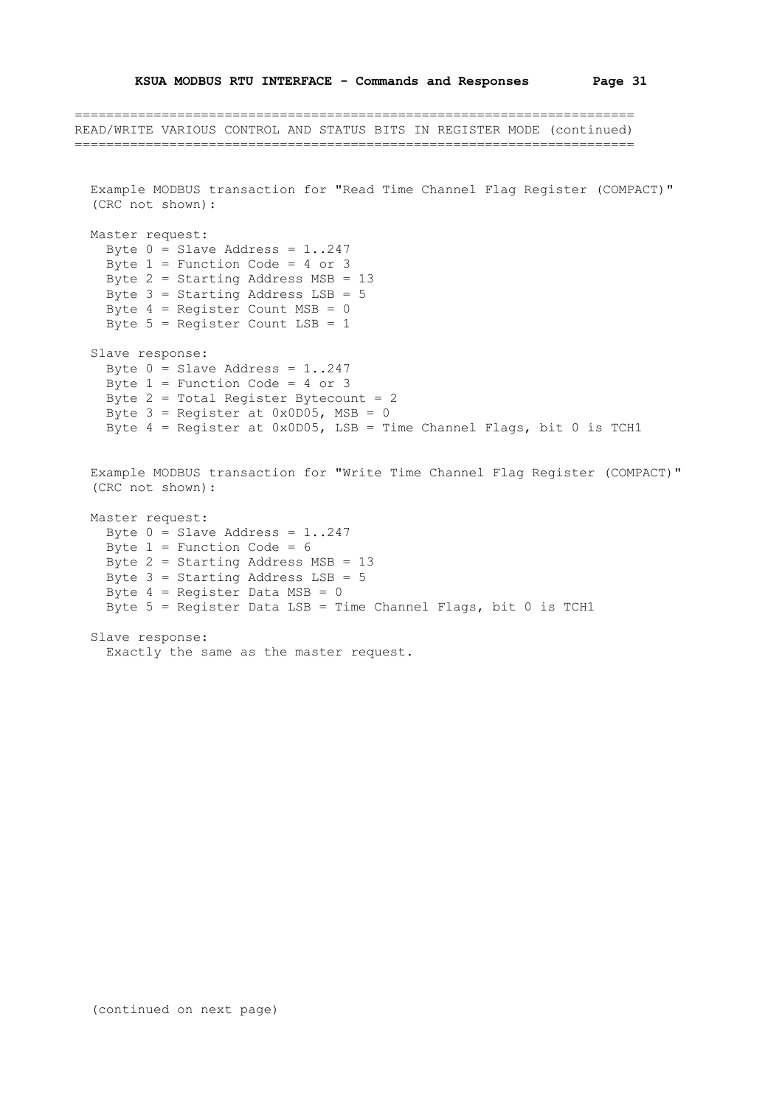=======================================================================

```
READ/WRITE VARIOUS CONTROL AND STATUS BITS IN REGISTER MODE (continued)
=======================================================================
   Example MODBUS transaction for "Read Time Channel Flag Register (COMPACT)"
   (CRC not shown):
   Master request:
   Byte 0 = Slave Address = 1..247
    Byte 1 = Function Code = 4 or 3
     Byte 2 = Starting Address MSB = 13
    Byte 3 = Starting Address LSB = 5Byte 4 = Register Count MSB = 0
    Byte 5 = Register Count LSB = 1
   Slave response:
    Byte 0 = Slave Address = 1..247
    Byte 1 = Function Code = 4 or 3
    Byte 2 = Total Register Between. = 2Byte 3 = \text{Reject at } 0 \times 0 1005, MSB = 0Byte 4 = Register at 0x0D05, LSB = Time Channel Flags, bit 0 is TCH1
   Example MODBUS transaction for "Write Time Channel Flag Register (COMPACT)"
   (CRC not shown):
   Master request:
    Byte 0 = Slave Address = 1..247
    Byte 1 = Function Code = 6 Byte 2 = Starting Address MSB = 13
    Byte 3 = Starting Address LSB = 5Byte 4 = Register Data MSB = 0
     Byte 5 = Register Data LSB = Time Channel Flags, bit 0 is TCH1
   Slave response:
     Exactly the same as the master request.
```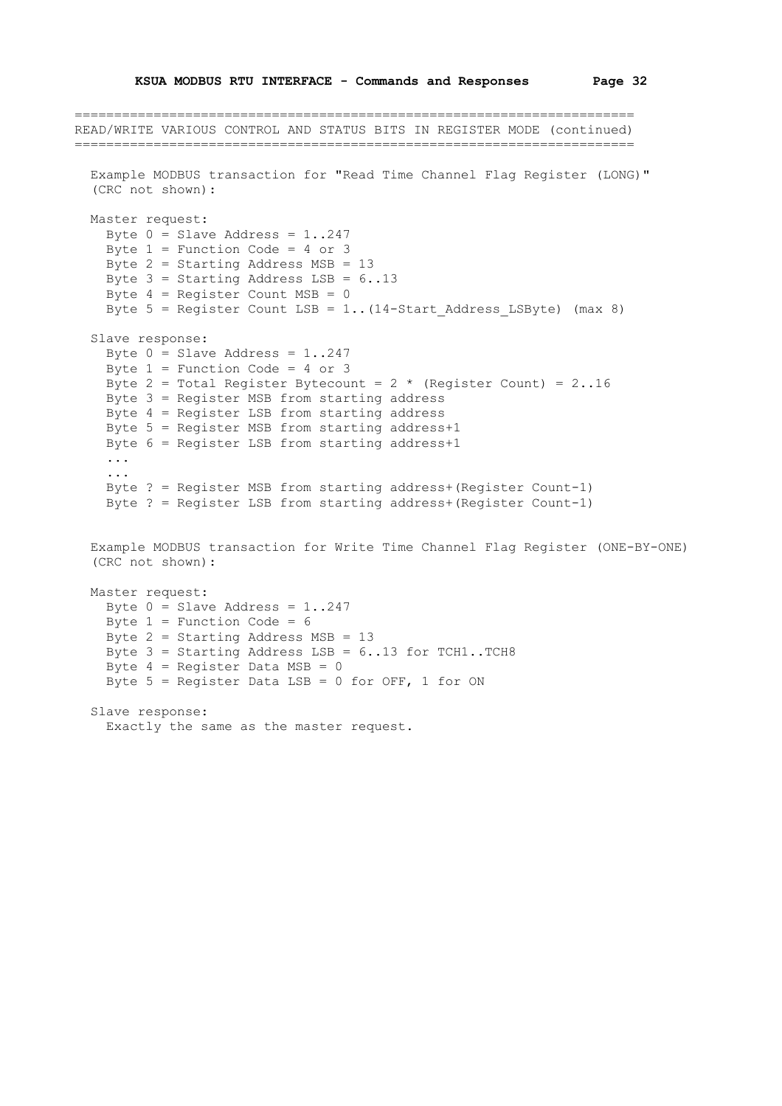```
=======================================================================
READ/WRITE VARIOUS CONTROL AND STATUS BITS IN REGISTER MODE (continued)
=======================================================================
   Example MODBUS transaction for "Read Time Channel Flag Register (LONG)"
   (CRC not shown):
   Master request:
   Byte 0 = Slave Address = 1..247
    Byte 1 = Function Code = 4 or 3
     Byte 2 = Starting Address MSB = 13
    Byte 3 = Starting Address LSB = 6..13Byte 4 = Register Count MSB = 0
    Byte 5 = Register Count LSB = 1.. (14-Start Address LSByte) (max 8)
   Slave response:
    Byte 0 = Slave Address = 1..247
    Byte 1 = Function Code = 4 or 3
    Byte 2 = Total Register Bytecount = 2 * (Register Count) = 2 \cdot .16 Byte 3 = Register MSB from starting address
     Byte 4 = Register LSB from starting address
     Byte 5 = Register MSB from starting address+1
     Byte 6 = Register LSB from starting address+1
     ...
     ...
     Byte ? = Register MSB from starting address+(Register Count-1)
     Byte ? = Register LSB from starting address+(Register Count-1)
   Example MODBUS transaction for Write Time Channel Flag Register (ONE-BY-ONE)
   (CRC not shown):
   Master request:
   Byte 0 = Slave Address = 1..247
    Byte 1 = Function Code = 6
     Byte 2 = Starting Address MSB = 13
    Byte 3 = Starting Address LSB = 6..13 for TCH1..TCH8
    Byte 4 = Register Data MSB = 0
    Byte 5 = Register Data LSB = 0 for OFF, 1 for ON
   Slave response:
     Exactly the same as the master request.
```